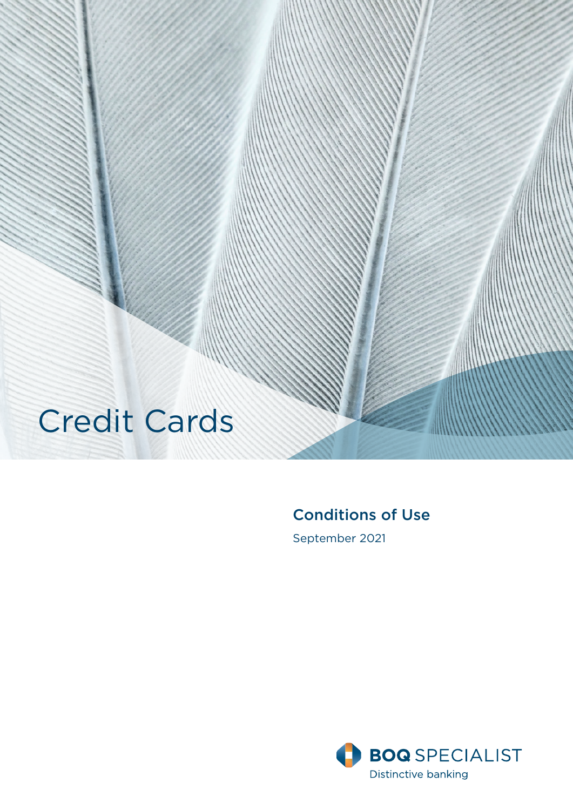# Credit Cards

# Conditions of Use

September 2021

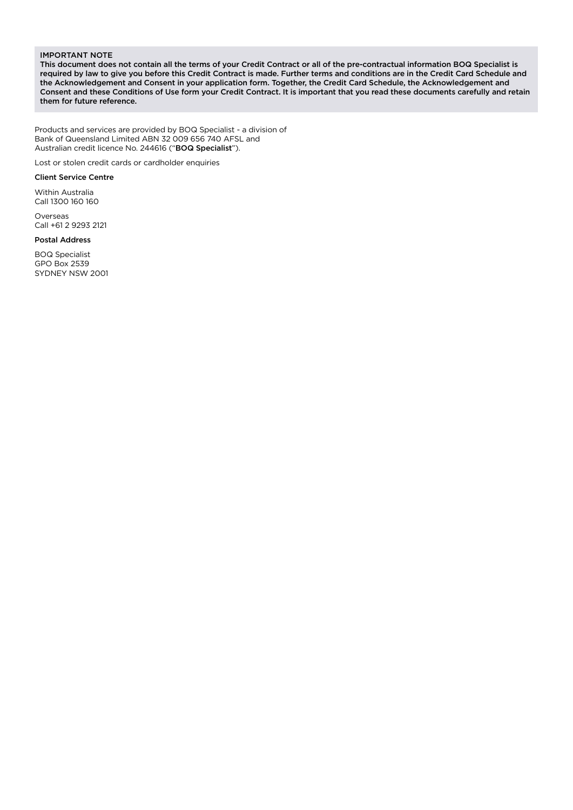#### IMPORTANT NOTE

This document does not contain all the terms of your Credit Contract or all of the pre-contractual information BOQ Specialist is required by law to give you before this Credit Contract is made. Further terms and conditions are in the Credit Card Schedule and the Acknowledgement and Consent in your application form. Together, the Credit Card Schedule, the Acknowledgement and Consent and these Conditions of Use form your Credit Contract. It is important that you read these documents carefully and retain them for future reference.

Products and services are provided by BOQ Specialist - a division of Bank of Queensland Limited ABN 32 009 656 740 AFSL and Australian credit licence No. 244616 ("BOQ Specialist").

Lost or stolen credit cards or cardholder enquiries

#### Client Service Centre

Within Australia Call 1300 160 160

Overseas Call +61 2 9293 2121

#### Postal Address

BOQ Specialist GPO Box 2539 SYDNEY NSW 2001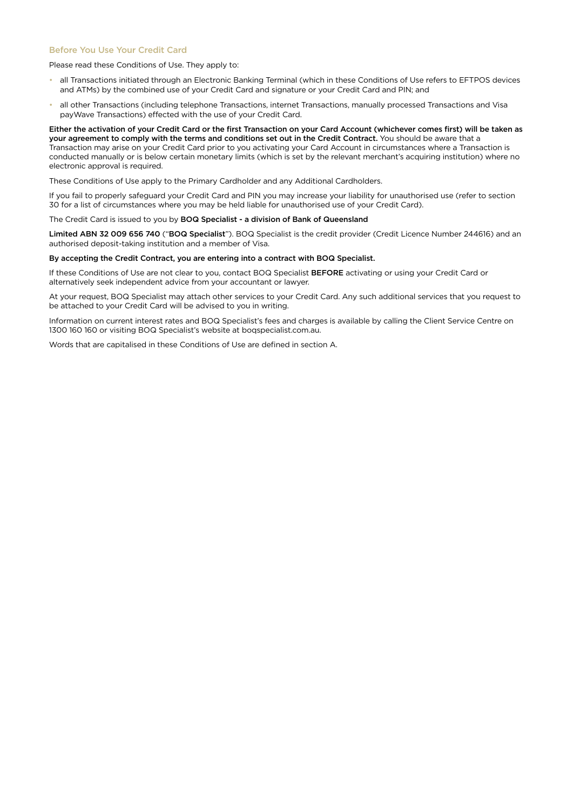#### Before You Use Your Credit Card

Please read these Conditions of Use. They apply to:

- all Transactions initiated through an Electronic Banking Terminal (which in these Conditions of Use refers to EFTPOS devices and ATMs) by the combined use of your Credit Card and signature or your Credit Card and PIN; and
- all other Transactions (including telephone Transactions, internet Transactions, manually processed Transactions and Visa payWave Transactions) effected with the use of your Credit Card.

Either the activation of your Credit Card or the first Transaction on your Card Account (whichever comes first) will be taken as your agreement to comply with the terms and conditions set out in the Credit Contract. You should be aware that a Transaction may arise on your Credit Card prior to you activating your Card Account in circumstances where a Transaction is conducted manually or is below certain monetary limits (which is set by the relevant merchant's acquiring institution) where no electronic approval is required.

These Conditions of Use apply to the Primary Cardholder and any Additional Cardholders.

If you fail to properly safeguard your Credit Card and PIN you may increase your liability for unauthorised use (refer to section 30 for a list of circumstances where you may be held liable for unauthorised use of your Credit Card).

#### The Credit Card is issued to you by **BOQ Specialist - a division of Bank of Queensland**

Limited ABN 32 009 656 740 ("BOQ Specialist"). BOQ Specialist is the credit provider (Credit Licence Number 244616) and an authorised deposit-taking institution and a member of Visa.

#### By accepting the Credit Contract, you are entering into a contract with BOQ Specialist.

If these Conditions of Use are not clear to you, contact BOQ Specialist BEFORE activating or using your Credit Card or alternatively seek independent advice from your accountant or lawyer.

At your request, BOQ Specialist may attach other services to your Credit Card. Any such additional services that you request to be attached to your Credit Card will be advised to you in writing.

Information on current interest rates and BOQ Specialist's fees and charges is available by calling the Client Service Centre on 1300 160 160 or visiting BOQ Specialist's website at boqspecialist.com.au.

Words that are capitalised in these Conditions of Use are defined in section A.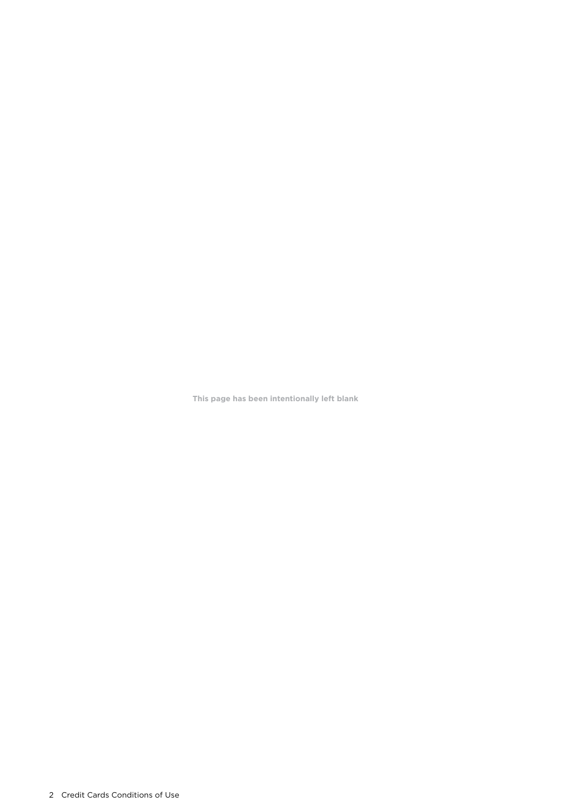**This page has been intentionally left blank**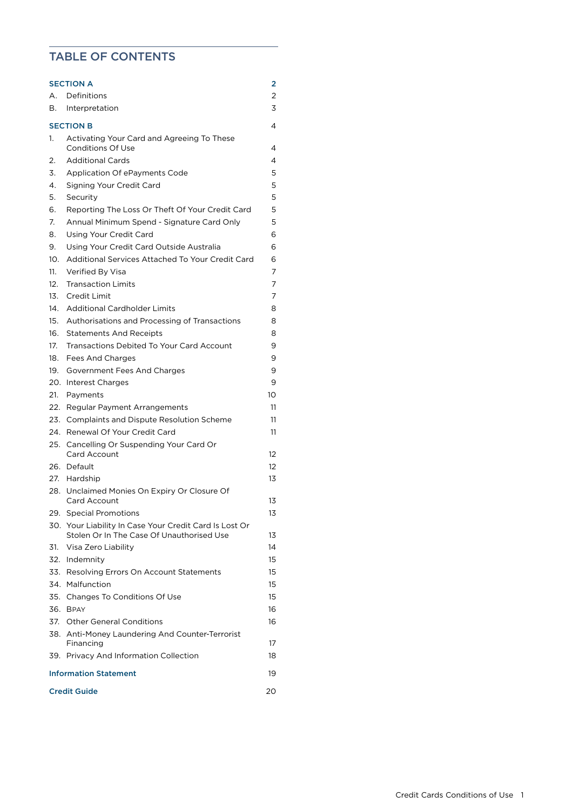# TABLE OF CONTENTS

| <b>SECTION A</b><br>2              |                                                                                                     |    |  |  |
|------------------------------------|-----------------------------------------------------------------------------------------------------|----|--|--|
| А.                                 | Definitions                                                                                         | 2  |  |  |
| В.                                 | Interpretation                                                                                      | 3  |  |  |
|                                    | 4<br><b>SECTION B</b>                                                                               |    |  |  |
| 1.                                 | Activating Your Card and Agreeing To These<br><b>Conditions Of Use</b>                              | 4  |  |  |
| 2.                                 | <b>Additional Cards</b>                                                                             | 4  |  |  |
| 3.                                 | Application Of ePayments Code                                                                       | 5  |  |  |
| 4.                                 | Signing Your Credit Card                                                                            | 5  |  |  |
| 5.                                 | Security                                                                                            | 5  |  |  |
| 6.                                 | Reporting The Loss Or Theft Of Your Credit Card                                                     | 5  |  |  |
| 7.                                 | Annual Minimum Spend - Signature Card Only                                                          | 5  |  |  |
| 8.                                 | Using Your Credit Card                                                                              | 6  |  |  |
| 9.                                 | Using Your Credit Card Outside Australia                                                            | 6  |  |  |
| 10.                                | Additional Services Attached To Your Credit Card                                                    | 6  |  |  |
| 11.                                | Verified By Visa                                                                                    | 7  |  |  |
| 12.                                | <b>Transaction Limits</b>                                                                           | 7  |  |  |
| 13.                                | Credit Limit                                                                                        | 7  |  |  |
| 14.                                | <b>Additional Cardholder Limits</b>                                                                 | 8  |  |  |
| 15.                                | Authorisations and Processing of Transactions                                                       | 8  |  |  |
| 16.                                | <b>Statements And Receipts</b>                                                                      | 8  |  |  |
| 17.                                | <b>Transactions Debited To Your Card Account</b>                                                    | 9  |  |  |
| 18.                                | Fees And Charges                                                                                    | 9  |  |  |
| 19.                                | Government Fees And Charges                                                                         | 9  |  |  |
| 20.                                | Interest Charges                                                                                    | 9  |  |  |
| 21.                                | Payments                                                                                            | 10 |  |  |
| 22.                                | Regular Payment Arrangements                                                                        | 11 |  |  |
| 23.                                | <b>Complaints and Dispute Resolution Scheme</b>                                                     | 11 |  |  |
| 24.                                | Renewal Of Your Credit Card                                                                         | 11 |  |  |
| 25.                                | Cancelling Or Suspending Your Card Or<br>Card Account                                               | 12 |  |  |
| 26.                                | Default                                                                                             | 12 |  |  |
| 27.                                | Hardship                                                                                            | 13 |  |  |
| 28.                                | Unclaimed Monies On Expiry Or Closure Of<br>Card Account                                            | 13 |  |  |
| 29.                                | <b>Special Promotions</b>                                                                           | 13 |  |  |
|                                    | 30. Your Liability In Case Your Credit Card Is Lost Or<br>Stolen Or In The Case Of Unauthorised Use | 13 |  |  |
| 31.                                | Visa Zero Liability                                                                                 | 14 |  |  |
| 32.                                | Indemnity                                                                                           | 15 |  |  |
| 33.                                | Resolving Errors On Account Statements                                                              | 15 |  |  |
| 34.                                | Malfunction                                                                                         | 15 |  |  |
| 35.                                | Changes To Conditions Of Use                                                                        | 15 |  |  |
| 36.                                | <b>BPAY</b>                                                                                         | 16 |  |  |
| 37.                                | <b>Other General Conditions</b>                                                                     | 16 |  |  |
| 38.                                | Anti-Money Laundering And Counter-Terrorist<br>Financing                                            | 17 |  |  |
| 39.                                | <b>Privacy And Information Collection</b>                                                           | 18 |  |  |
| <b>Information Statement</b><br>19 |                                                                                                     |    |  |  |
| <b>Credit Guide</b>                |                                                                                                     |    |  |  |
|                                    | 20                                                                                                  |    |  |  |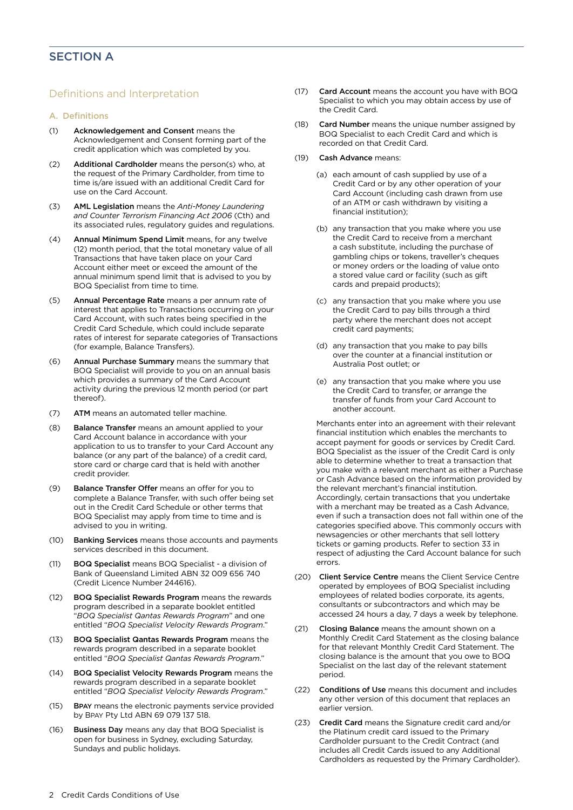# <span id="page-5-0"></span>SECTION A

## Definitions and Interpretation

#### A. Definitions

- (1) Acknowledgement and Consent means the Acknowledgement and Consent forming part of the credit application which was completed by you.
- (2) Additional Cardholder means the person(s) who, at the request of the Primary Cardholder, from time to time is/are issued with an additional Credit Card for use on the Card Account.
- (3) AML Legislation means the *Anti-Money Laundering and Counter Terrorism Financing Act 2006* (Cth) and its associated rules, regulatory guides and regulations.
- (4) Annual Minimum Spend Limit means, for any twelve (12) month period, that the total monetary value of all Transactions that have taken place on your Card Account either meet or exceed the amount of the annual minimum spend limit that is advised to you by BOQ Specialist from time to time.
- (5) Annual Percentage Rate means a per annum rate of interest that applies to Transactions occurring on your Card Account, with such rates being specified in the Credit Card Schedule, which could include separate rates of interest for separate categories of Transactions (for example, Balance Transfers).
- (6) Annual Purchase Summary means the summary that BOQ Specialist will provide to you on an annual basis which provides a summary of the Card Account activity during the previous 12 month period (or part thereof).
- (7) ATM means an automated teller machine.
- (8) Balance Transfer means an amount applied to your Card Account balance in accordance with your application to us to transfer to your Card Account any balance (or any part of the balance) of a credit card, store card or charge card that is held with another credit provider.
- (9) Balance Transfer Offer means an offer for you to complete a Balance Transfer, with such offer being set out in the Credit Card Schedule or other terms that BOQ Specialist may apply from time to time and is advised to you in writing.
- (10) Banking Services means those accounts and payments services described in this document.
- (11) BOQ Specialist means BOQ Specialist a division of Bank of Queensland Limited ABN 32 009 656 740 (Credit Licence Number 244616).
- (12) BOQ Specialist Rewards Program means the rewards program described in a separate booklet entitled "*BOQ Specialist Qantas Rewards Program*" and one entitled "*BOQ Specialist Velocity Rewards Program*."
- (13) BOQ Specialist Qantas Rewards Program means the rewards program described in a separate booklet entitled "*BOQ Specialist Qantas Rewards Program*."
- (14) BOQ Specialist Velocity Rewards Program means the rewards program described in a separate booklet entitled "*BOQ Specialist Velocity Rewards Program*."
- (15) BPAY means the electronic payments service provided by BPAY Pty Ltd ABN 69 079 137 518.
- (16) Business Day means any day that BOQ Specialist is open for business in Sydney, excluding Saturday, Sundays and public holidays.
- (17) Card Account means the account you have with BOQ Specialist to which you may obtain access by use of the Credit Card.
- (18) Card Number means the unique number assigned by BOQ Specialist to each Credit Card and which is recorded on that Credit Card.
- (19) Cash Advance means:
	- (a) each amount of cash supplied by use of a Credit Card or by any other operation of your Card Account (including cash drawn from use of an ATM or cash withdrawn by visiting a financial institution);
	- (b) any transaction that you make where you use the Credit Card to receive from a merchant a cash substitute, including the purchase of gambling chips or tokens, traveller's cheques or money orders or the loading of value onto a stored value card or facility (such as gift cards and prepaid products);
	- (c) any transaction that you make where you use the Credit Card to pay bills through a third party where the merchant does not accept credit card payments;
	- (d) any transaction that you make to pay bills over the counter at a financial institution or Australia Post outlet; or
	- (e) any transaction that you make where you use the Credit Card to transfer, or arrange the transfer of funds from your Card Account to another account.

Merchants enter into an agreement with their relevant financial institution which enables the merchants to accept payment for goods or services by Credit Card. BOQ Specialist as the issuer of the Credit Card is only able to determine whether to treat a transaction that you make with a relevant merchant as either a Purchase or Cash Advance based on the information provided by the relevant merchant's financial institution. Accordingly, certain transactions that you undertake with a merchant may be treated as a Cash Advance, even if such a transaction does not fall within one of the categories specified above. This commonly occurs with newsagencies or other merchants that sell lottery tickets or gaming products. Refer to section 33 in respect of adjusting the Card Account balance for such errors.

- (20) Client Service Centre means the Client Service Centre operated by employees of BOQ Specialist including employees of related bodies corporate, its agents, consultants or subcontractors and which may be accessed 24 hours a day, 7 days a week by telephone.
- (21) Closing Balance means the amount shown on a Monthly Credit Card Statement as the closing balance for that relevant Monthly Credit Card Statement. The closing balance is the amount that you owe to BOQ Specialist on the last day of the relevant statement period.
- (22) Conditions of Use means this document and includes any other version of this document that replaces an earlier version.
- (23) Credit Card means the Signature credit card and/or the Platinum credit card issued to the Primary Cardholder pursuant to the Credit Contract (and includes all Credit Cards issued to any Additional Cardholders as requested by the Primary Cardholder).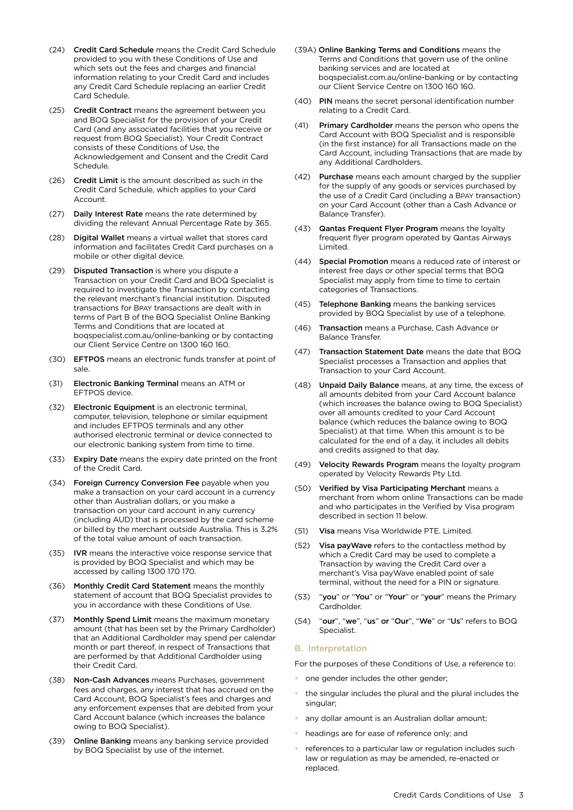- <span id="page-6-0"></span>(24) Credit Card Schedule means the Credit Card Schedule provided to you with these Conditions of Use and which sets out the fees and charges and financial information relating to your Credit Card and includes any Credit Card Schedule replacing an earlier Credit Card Schedule.
- (25) Credit Contract means the agreement between you and BOQ Specialist for the provision of your Credit Card (and any associated facilities that you receive or request from BOQ Specialist). Your Credit Contract consists of these Conditions of Use, the Acknowledgement and Consent and the Credit Card Schedule.
- (26) Credit Limit is the amount described as such in the Credit Card Schedule, which applies to your Card Account.
- (27) Daily Interest Rate means the rate determined by dividing the relevant Annual Percentage Rate by 365.
- (28) Digital Wallet means a virtual wallet that stores card information and facilitates Credit Card purchases on a mobile or other digital device.
- (29) Disputed Transaction is where you dispute a Transaction on your Credit Card and BOQ Specialist is required to investigate the Transaction by contacting the relevant merchant's financial institution. Disputed transactions for BPAY transactions are dealt with in terms of Part B of the BOQ Specialist Online Banking Terms and Conditions that are located at boqspecialist.com.au/online-banking or by contacting our Client Service Centre on 1300 160 160.
- (30) EFTPOS means an electronic funds transfer at point of sale.
- (31) Electronic Banking Terminal means an ATM or EFTPOS device.
- (32) Electronic Equipment is an electronic terminal, computer, television, telephone or similar equipment and includes EFTPOS terminals and any other authorised electronic terminal or device connected to our electronic banking system from time to time.
- (33) Expiry Date means the expiry date printed on the front of the Credit Card.
- (34) Foreign Currency Conversion Fee payable when you make a transaction on your card account in a currency other than Australian dollars, or you make a transaction on your card account in any currency (including AUD) that is processed by the card scheme or billed by the merchant outside Australia. This is 3.2% of the total value amount of each transaction.
- (35) IVR means the interactive voice response service that is provided by BOQ Specialist and which may be accessed by calling 1300 170 170.
- (36) Monthly Credit Card Statement means the monthly statement of account that BOQ Specialist provides to you in accordance with these Conditions of Use.
- (37) Monthly Spend Limit means the maximum monetary amount (that has been set by the Primary Cardholder) that an Additional Cardholder may spend per calendar month or part thereof, in respect of Transactions that are performed by that Additional Cardholder using their Credit Card.
- (38) Non-Cash Advances means Purchases, government fees and charges, any interest that has accrued on the Card Account, BOQ Specialist's fees and charges and any enforcement expenses that are debited from your Card Account balance (which increases the balance owing to BOQ Specialist).
- (39) Online Banking means any banking service provided by BOQ Specialist by use of the internet.
- (39A) Online Banking Terms and Conditions means the Terms and Conditions that govern use of the online banking services and are located at boqspecialist.com.au/online-banking or by contacting our Client Service Centre on 1300 160 160.
- (40) PIN means the secret personal identification number relating to a Credit Card.
- (41) Primary Cardholder means the person who opens the Card Account with BOQ Specialist and is responsible (in the first instance) for all Transactions made on the Card Account, including Transactions that are made by any Additional Cardholders.
- (42) Purchase means each amount charged by the supplier for the supply of any goods or services purchased by the use of a Credit Card (including a BPAY transaction) on your Card Account (other than a Cash Advance or Balance Transfer).
- (43) Qantas Frequent Flyer Program means the loyalty frequent flyer program operated by Qantas Airways Limited.
- (44) Special Promotion means a reduced rate of interest or interest free days or other special terms that BOQ Specialist may apply from time to time to certain categories of Transactions.
- (45) Telephone Banking means the banking services provided by BOQ Specialist by use of a telephone.
- (46) Transaction means a Purchase, Cash Advance or Balance Transfer.
- (47) Transaction Statement Date means the date that BOQ Specialist processes a Transaction and applies that Transaction to your Card Account.
- (48) Unpaid Daily Balance means, at any time, the excess of all amounts debited from your Card Account balance (which increases the balance owing to BOQ Specialist) over all amounts credited to your Card Account balance (which reduces the balance owing to BOQ Specialist) at that time. When this amount is to be calculated for the end of a day, it includes all debits and credits assigned to that day.
- (49) Velocity Rewards Program means the loyalty program operated by Velocity Rewards Pty Ltd.
- (50) Verified by Visa Participating Merchant means a merchant from whom online Transactions can be made and who participates in the Verified by Visa program described in section 11 below.
- (51) Visa means Visa Worldwide PTE. Limited.
- (52) Visa payWave refers to the contactless method by which a Credit Card may be used to complete a Transaction by waving the Credit Card over a merchant's Visa payWave enabled point of sale terminal, without the need for a PIN or signature.
- (53) "you" or "You" or "Your" or "your" means the Primary Cardholder.
- (54) "our", "we", "us" or "Our", "We" or "Us" refers to BOQ Specialist.

#### B. Interpretation

For the purposes of these Conditions of Use, a reference to:

- one gender includes the other gender;
- the singular includes the plural and the plural includes the singular;
- any dollar amount is an Australian dollar amount;
- headings are for ease of reference only; and
- references to a particular law or regulation includes such law or regulation as may be amended, re-enacted or replaced.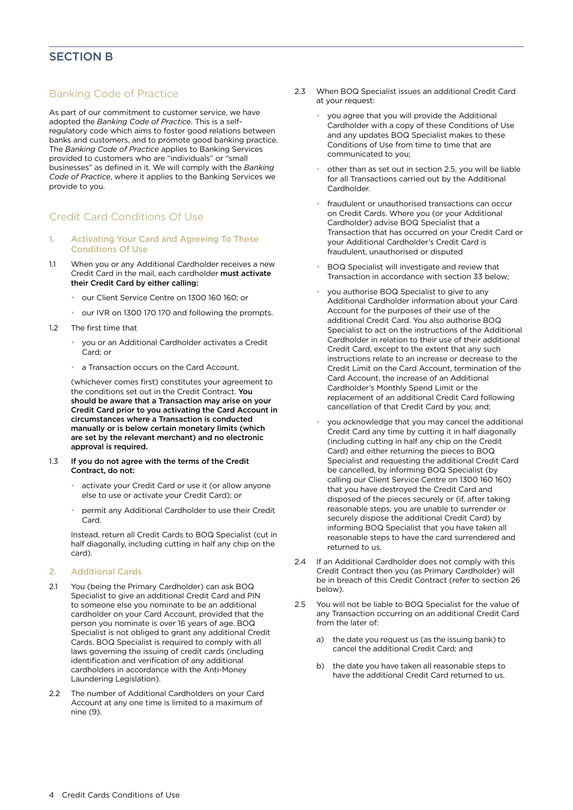# <span id="page-7-0"></span>SECTION B

# Banking Code of Practice

As part of our commitment to customer service, we have adopted the *Banking Code of Practice*. This is a selfregulatory code which aims to foster good relations between banks and customers, and to promote good banking practice. The *Banking Code of Practice* applies to Banking Services provided to customers who are "individuals" or "small businesses" as defined in it. We will comply with the *Banking Code of Practice*, where it applies to the Banking Services we provide to you.

## Credit Card Conditions Of Use

#### 1. Activating Your Card and Agreeing To These Conditions Of Use

- 1.1 When you or any Additional Cardholder receives a new Credit Card in the mail, each cardholder must activate their Credit Card by either calling:
	- our Client Service Centre on 1300 160 160; or
	- our IVR on 1300 170 170 and following the prompts.
- 1.2 The first time that
	- you or an Additional Cardholder activates a Credit Card; or
	- a Transaction occurs on the Card Account.

(whichever comes first) constitutes your agreement to the conditions set out in the Credit Contract. You should be aware that a Transaction may arise on your Credit Card prior to you activating the Card Account in circumstances where a Transaction is conducted manually or is below certain monetary limits (which are set by the relevant merchant) and no electronic approval is required.

- 1.3 If you do not agree with the terms of the Credit Contract, do not:
	- activate your Credit Card or use it (or allow anyone else to use or activate your Credit Card); or
	- permit any Additional Cardholder to use their Credit Card.

Instead, return all Credit Cards to BOQ Specialist (cut in half diagonally, including cutting in half any chip on the card).

#### 2. Additional Cards

- 2.1 You (being the Primary Cardholder) can ask BOQ Specialist to give an additional Credit Card and PIN to someone else you nominate to be an additional cardholder on your Card Account, provided that the person you nominate is over 16 years of age. BOQ Specialist is not obliged to grant any additional Credit Cards. BOQ Specialist is required to comply with all laws governing the issuing of credit cards (including identification and verification of any additional cardholders in accordance with the Anti-Money Laundering Legislation).
- 2.2 The number of Additional Cardholders on your Card Account at any one time is limited to a maximum of nine (9).
- 2.3 When BOQ Specialist issues an additional Credit Card at your request:
	- you agree that you will provide the Additional Cardholder with a copy of these Conditions of Use and any updates BOQ Specialist makes to these Conditions of Use from time to time that are communicated to you;
	- other than as set out in section 2.5, you will be liable for all Transactions carried out by the Additional Cardholder.
	- fraudulent or unauthorised transactions can occur on Credit Cards. Where you (or your Additional Cardholder) advise BOQ Specialist that a Transaction that has occurred on your Credit Card or your Additional Cardholder's Credit Card is fraudulent, unauthorised or disputed
	- BOQ Specialist will investigate and review that Transaction in accordance with section 33 below;
	- you authorise BOQ Specialist to give to any Additional Cardholder information about your Card Account for the purposes of their use of the additional Credit Card. You also authorise BOQ Specialist to act on the instructions of the Additional Cardholder in relation to their use of their additional Credit Card, except to the extent that any such instructions relate to an increase or decrease to the Credit Limit on the Card Account, termination of the Card Account, the increase of an Additional Cardholder's Monthly Spend Limit or the replacement of an additional Credit Card following cancellation of that Credit Card by you; and;
	- you acknowledge that you may cancel the additional Credit Card any time by cutting it in half diagonally (including cutting in half any chip on the Credit Card) and either returning the pieces to BOQ Specialist and requesting the additional Credit Card be cancelled, by informing BOQ Specialist (by calling our Client Service Centre on 1300 160 160) that you have destroyed the Credit Card and disposed of the pieces securely or (if, after taking reasonable steps, you are unable to surrender or securely dispose the additional Credit Card) by informing BOQ Specialist that you have taken all reasonable steps to have the card surrendered and returned to us.
- 2.4 If an Additional Cardholder does not comply with this Credit Contract then you (as Primary Cardholder) will be in breach of this Credit Contract (refer to section 26 below).
- 2.5 You will not be liable to BOQ Specialist for the value of any Transaction occurring on an additional Credit Card from the later of:
	- a) the date you request us (as the issuing bank) to cancel the additional Credit Card; and
	- b) the date you have taken all reasonable steps to have the additional Credit Card returned to us.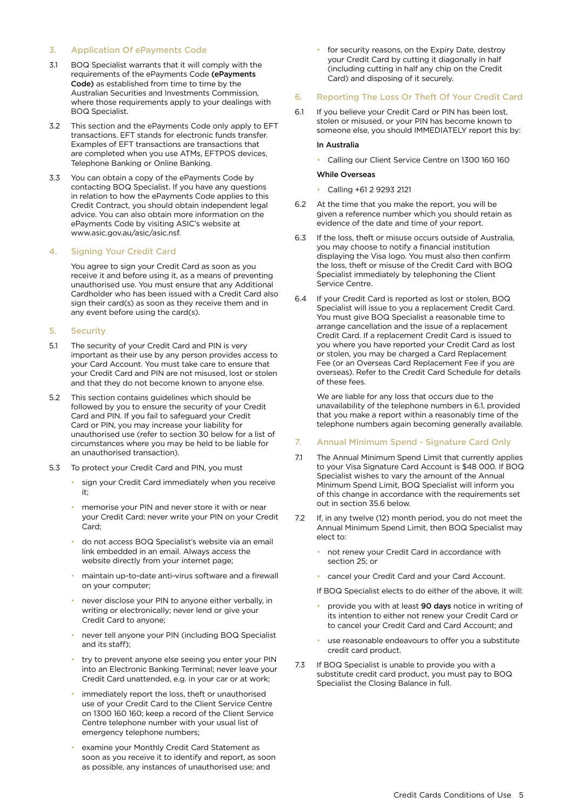#### <span id="page-8-0"></span>3. Application Of ePayments Code

- 3.1 BOQ Specialist warrants that it will comply with the requirements of the ePayments Code (ePayments Code) as established from time to time by the Australian Securities and Investments Commission, where those requirements apply to your dealings with BOQ Specialist.
- 3.2 This section and the ePayments Code only apply to EFT transactions. EFT stands for electronic funds transfer. Examples of EFT transactions are transactions that are completed when you use ATMs, EFTPOS devices, Telephone Banking or Online Banking.
- 3.3 You can obtain a copy of the ePayments Code by contacting BOQ Specialist. If you have any questions in relation to how the ePayments Code applies to this Credit Contract, you should obtain independent legal advice. You can also obtain more information on the ePayments Code by visiting ASIC's website at [www.asic.gov.au/asic/asic.nsf.](http://www.asic.gov.au/asic/asic.nsf)

#### 4. Signing Your Credit Card

You agree to sign your Credit Card as soon as you receive it and before using it, as a means of preventing unauthorised use. You must ensure that any Additional Cardholder who has been issued with a Credit Card also sign their card(s) as soon as they receive them and in any event before using the card(s).

#### 5. Security

- 5.1 The security of your Credit Card and PIN is very important as their use by any person provides access to your Card Account. You must take care to ensure that your Credit Card and PIN are not misused, lost or stolen and that they do not become known to anyone else.
- 5.2 This section contains guidelines which should be followed by you to ensure the security of your Credit Card and PIN. If you fail to safeguard your Credit Card or PIN, you may increase your liability for unauthorised use (refer to section 30 below for a list of circumstances where you may be held to be liable for an unauthorised transaction).
- 5.3 To protect your Credit Card and PIN, you must
	- sign your Credit Card immediately when you receive it;
	- memorise your PIN and never store it with or near your Credit Card; never write your PIN on your Credit Card;
	- do not access BOQ Specialist's website via an email link embedded in an email. Always access the website directly from your internet page;
	- maintain up-to-date anti-virus software and a firewall on your computer;
	- never disclose your PIN to anyone either verbally, in writing or electronically; never lend or give your Credit Card to anyone;
	- never tell anyone your PIN (including BOQ Specialist and its staff);
	- try to prevent anyone else seeing you enter your PIN into an Electronic Banking Terminal; never leave your Credit Card unattended, e.g. in your car or at work;
	- immediately report the loss, theft or unauthorised use of your Credit Card to the Client Service Centre on 1300 160 160; keep a record of the Client Service Centre telephone number with your usual list of emergency telephone numbers;
	- examine your Monthly Credit Card Statement as soon as you receive it to identify and report, as soon as possible, any instances of unauthorised use; and

• for security reasons, on the Expiry Date, destroy your Credit Card by cutting it diagonally in half (including cutting in half any chip on the Credit Card) and disposing of it securely.

#### 6. Reporting The Loss Or Theft Of Your Credit Card

6.1 If you believe your Credit Card or PIN has been lost, stolen or misused, or your PIN has become known to someone else, you should IMMEDIATELY report this by:

#### In Australia

Calling our Client Service Centre on 1300 160 160

#### While Overseas

- Calling +61 2 9293 2121
- 6.2 At the time that you make the report, you will be given a reference number which you should retain as evidence of the date and time of your report.
- 6.3 If the loss, theft or misuse occurs outside of Australia, you may choose to notify a financial institution displaying the Visa logo. You must also then confirm the loss, theft or misuse of the Credit Card with BOQ Specialist immediately by telephoning the Client Service Centre.
- 6.4 If your Credit Card is reported as lost or stolen, BOQ Specialist will issue to you a replacement Credit Card. You must give BOQ Specialist a reasonable time to arrange cancellation and the issue of a replacement Credit Card. If a replacement Credit Card is issued to you where you have reported your Credit Card as lost or stolen, you may be charged a Card Replacement Fee (or an Overseas Card Replacement Fee if you are overseas). Refer to the Credit Card Schedule for details of these fees.

We are liable for any loss that occurs due to the unavailability of the telephone numbers in 6.1, provided that you make a report within a reasonably time of the telephone numbers again becoming generally available.

#### 7. Annual Minimum Spend - Signature Card Only

- 7.1 The Annual Minimum Spend Limit that currently applies to your Visa Signature Card Account is \$48 000. If BOQ Specialist wishes to vary the amount of the Annual Minimum Spend Limit, BOQ Specialist will inform you of this change in accordance with the requirements set out in section 35.6 below.
- 7.2 If, in any twelve (12) month period, you do not meet the Annual Minimum Spend Limit, then BOQ Specialist may elect to:
	- not renew your Credit Card in accordance with section 25; or
	- cancel your Credit Card and your Card Account.
	- If BOQ Specialist elects to do either of the above, it will:
	- provide you with at least 90 days notice in writing of its intention to either not renew your Credit Card or to cancel your Credit Card and Card Account; and
	- use reasonable endeavours to offer you a substitute credit card product.
- 7.3 If BOQ Specialist is unable to provide you with a substitute credit card product, you must pay to BOQ Specialist the Closing Balance in full.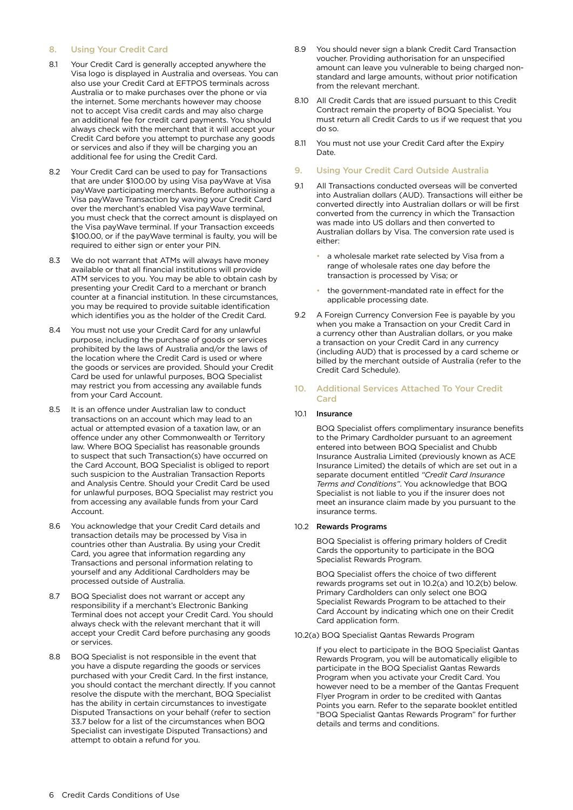#### <span id="page-9-0"></span>8. Using Your Credit Card

- 8.1 Your Credit Card is generally accepted anywhere the Visa logo is displayed in Australia and overseas. You can also use your Credit Card at EFTPOS terminals across Australia or to make purchases over the phone or via the internet. Some merchants however may choose not to accept Visa credit cards and may also charge an additional fee for credit card payments. You should always check with the merchant that it will accept your Credit Card before you attempt to purchase any goods or services and also if they will be charging you an additional fee for using the Credit Card.
- 8.2 Your Credit Card can be used to pay for Transactions that are under \$100.00 by using Visa payWave at Visa payWave participating merchants. Before authorising a Visa payWave Transaction by waving your Credit Card over the merchant's enabled Visa payWave terminal, you must check that the correct amount is displayed on the Visa payWave terminal. If your Transaction exceeds \$100.00, or if the payWave terminal is faulty, you will be required to either sign or enter your PIN.
- 8.3 We do not warrant that ATMs will always have money available or that all financial institutions will provide ATM services to you. You may be able to obtain cash by presenting your Credit Card to a merchant or branch counter at a financial institution. In these circumstances, you may be required to provide suitable identification which identifies you as the holder of the Credit Card.
- 8.4 You must not use your Credit Card for any unlawful purpose, including the purchase of goods or services prohibited by the laws of Australia and/or the laws of the location where the Credit Card is used or where the goods or services are provided. Should your Credit Card be used for unlawful purposes, BOQ Specialist may restrict you from accessing any available funds from your Card Account.
- 8.5 It is an offence under Australian law to conduct transactions on an account which may lead to an actual or attempted evasion of a taxation law, or an offence under any other Commonwealth or Territory law. Where BOQ Specialist has reasonable grounds to suspect that such Transaction(s) have occurred on the Card Account, BOQ Specialist is obliged to report such suspicion to the Australian Transaction Reports and Analysis Centre. Should your Credit Card be used for unlawful purposes, BOQ Specialist may restrict you from accessing any available funds from your Card Account.
- 8.6 You acknowledge that your Credit Card details and transaction details may be processed by Visa in countries other than Australia. By using your Credit Card, you agree that information regarding any Transactions and personal information relating to yourself and any Additional Cardholders may be processed outside of Australia.
- 8.7 BOQ Specialist does not warrant or accept any responsibility if a merchant's Electronic Banking Terminal does not accept your Credit Card. You should always check with the relevant merchant that it will accept your Credit Card before purchasing any goods or services.
- 8.8 BOQ Specialist is not responsible in the event that you have a dispute regarding the goods or services purchased with your Credit Card. In the first instance, you should contact the merchant directly. If you cannot resolve the dispute with the merchant, BOQ Specialist has the ability in certain circumstances to investigate Disputed Transactions on your behalf (refer to section 33.7 below for a list of the circumstances when BOQ Specialist can investigate Disputed Transactions) and attempt to obtain a refund for you.
- 8.9 You should never sign a blank Credit Card Transaction voucher. Providing authorisation for an unspecified amount can leave you vulnerable to being charged nonstandard and large amounts, without prior notification from the relevant merchant.
- 8.10 All Credit Cards that are issued pursuant to this Credit Contract remain the property of BOQ Specialist. You must return all Credit Cards to us if we request that you do so.
- 8.11 You must not use your Credit Card after the Expiry Date.
- 9. Using Your Credit Card Outside Australia
- 9.1 All Transactions conducted overseas will be converted into Australian dollars (AUD). Transactions will either be converted directly into Australian dollars or will be first converted from the currency in which the Transaction was made into US dollars and then converted to Australian dollars by Visa. The conversion rate used is either:
	- a wholesale market rate selected by Visa from a range of wholesale rates one day before the transaction is processed by Visa; or
	- the government-mandated rate in effect for the applicable processing date.
- 9.2 A Foreign Currency Conversion Fee is payable by you when you make a Transaction on your Credit Card in a currency other than Australian dollars, or you make a transaction on your Credit Card in any currency (including AUD) that is processed by a card scheme or billed by the merchant outside of Australia (refer to the Credit Card Schedule).
- 10. Additional Services Attached To Your Credit Card

#### 10.1 Insurance

BOQ Specialist offers complimentary insurance benefits to the Primary Cardholder pursuant to an agreement entered into between BOQ Specialist and Chubb Insurance Australia Limited (previously known as ACE Insurance Limited) the details of which are set out in a separate document entitled *"Credit Card Insurance Terms and Conditions"*. You acknowledge that BOQ Specialist is not liable to you if the insurer does not meet an insurance claim made by you pursuant to the insurance terms.

#### 10.2 Rewards Programs

BOQ Specialist is offering primary holders of Credit Cards the opportunity to participate in the BOQ Specialist Rewards Program.

BOQ Specialist offers the choice of two different rewards programs set out in 10.2(a) and 10.2(b) below. Primary Cardholders can only select one BOQ Specialist Rewards Program to be attached to their Card Account by indicating which one on their Credit Card application form.

#### 10.2(a) BOQ Specialist Qantas Rewards Program

If you elect to participate in the BOQ Specialist Qantas Rewards Program, you will be automatically eligible to participate in the BOQ Specialist Qantas Rewards Program when you activate your Credit Card. You however need to be a member of the Qantas Frequent Flyer Program in order to be credited with Qantas Points you earn. Refer to the separate booklet entitled "BOQ Specialist Qantas Rewards Program" for further details and terms and conditions.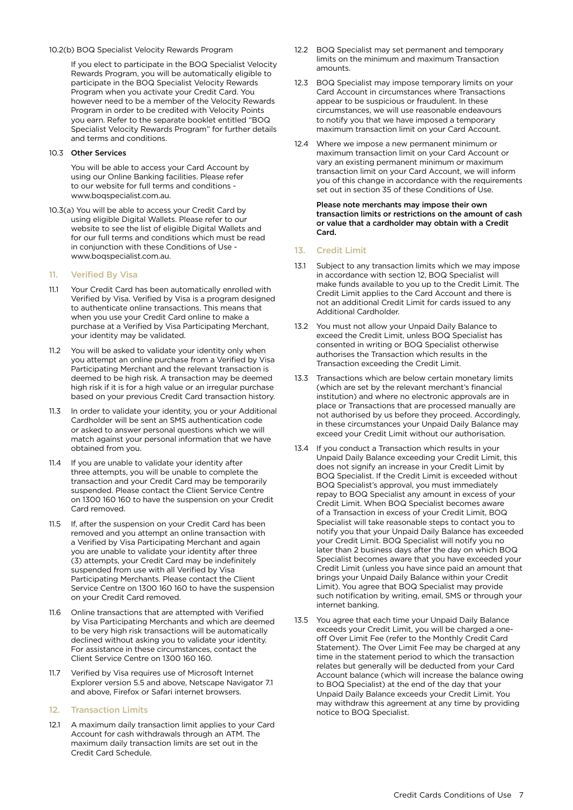#### <span id="page-10-0"></span>10.2(b) BOQ Specialist Velocity Rewards Program

If you elect to participate in the BOQ Specialist Velocity Rewards Program, you will be automatically eligible to participate in the BOQ Specialist Velocity Rewards Program when you activate your Credit Card. You however need to be a member of the Velocity Rewards Program in order to be credited with Velocity Points you earn. Refer to the separate booklet entitled "BOQ Specialist Velocity Rewards Program" for further details and terms and conditions.

#### 10.3 Other Services

You will be able to access your Card Account by using our Online Banking facilities. Please refer to our website for full terms and conditions [www.boqspecialist.com.au.](http://www.boqspecialist.com.au/)

10.3(a) You will be able to access your Credit Card by using eligible Digital Wallets. Please refer to our website to see the list of eligible Digital Wallets and for our full terms and conditions which must be read in conjunction with these Conditions of Use www.boqspecialist.com.au.

#### 11. Verified By Visa

- 11.1 Your Credit Card has been automatically enrolled with Verified by Visa. Verified by Visa is a program designed to authenticate online transactions. This means that when you use your Credit Card online to make a purchase at a Verified by Visa Participating Merchant, your identity may be validated.
- 11.2 You will be asked to validate your identity only when you attempt an online purchase from a Verified by Visa Participating Merchant and the relevant transaction is deemed to be high risk. A transaction may be deemed high risk if it is for a high value or an irregular purchase based on your previous Credit Card transaction history.
- 11.3 In order to validate your identity, you or your Additional Cardholder will be sent an SMS authentication code or asked to answer personal questions which we will match against your personal information that we have obtained from you.
- 11.4 If you are unable to validate your identity after three attempts, you will be unable to complete the transaction and your Credit Card may be temporarily suspended. Please contact the Client Service Centre on 1300 160 160 to have the suspension on your Credit Card removed.
- 11.5 If, after the suspension on your Credit Card has been removed and you attempt an online transaction with a Verified by Visa Participating Merchant and again you are unable to validate your identity after three (3) attempts, your Credit Card may be indefinitely suspended from use with all Verified by Visa Participating Merchants. Please contact the Client Service Centre on 1300 160 160 to have the suspension on your Credit Card removed.
- 11.6 Online transactions that are attempted with Verified by Visa Participating Merchants and which are deemed to be very high risk transactions will be automatically declined without asking you to validate your identity. For assistance in these circumstances, contact the Client Service Centre on 1300 160 160.
- 11.7 Verified by Visa requires use of Microsoft Internet Explorer version 5.5 and above, Netscape Navigator 7.1 and above, Firefox or Safari internet browsers.

#### 12. Transaction Limits

12.1 A maximum daily transaction limit applies to your Card Account for cash withdrawals through an ATM. The maximum daily transaction limits are set out in the Credit Card Schedule.

- 12.2 BOQ Specialist may set permanent and temporary limits on the minimum and maximum Transaction amounts.
- 12.3 BOQ Specialist may impose temporary limits on your Card Account in circumstances where Transactions appear to be suspicious or fraudulent. In these circumstances, we will use reasonable endeavours to notify you that we have imposed a temporary maximum transaction limit on your Card Account.
- 12.4 Where we impose a new permanent minimum or maximum transaction limit on your Card Account or vary an existing permanent minimum or maximum transaction limit on your Card Account, we will inform you of this change in accordance with the requirements set out in section 35 of these Conditions of Use.

#### Please note merchants may impose their own transaction limits or restrictions on the amount of cash or value that a cardholder may obtain with a Credit Card.

#### 13. Credit Limit

- 13.1 Subject to any transaction limits which we may impose in accordance with section 12, BOQ Specialist will make funds available to you up to the Credit Limit. The Credit Limit applies to the Card Account and there is not an additional Credit Limit for cards issued to any Additional Cardholder.
- 13.2 You must not allow your Unpaid Daily Balance to exceed the Credit Limit, unless BOQ Specialist has consented in writing or BOQ Specialist otherwise authorises the Transaction which results in the Transaction exceeding the Credit Limit.
- 13.3 Transactions which are below certain monetary limits (which are set by the relevant merchant's financial institution) and where no electronic approvals are in place or Transactions that are processed manually are not authorised by us before they proceed. Accordingly, in these circumstances your Unpaid Daily Balance may exceed your Credit Limit without our authorisation.
- 13.4 If you conduct a Transaction which results in your Unpaid Daily Balance exceeding your Credit Limit, this does not signify an increase in your Credit Limit by BOQ Specialist. If the Credit Limit is exceeded without BOQ Specialist's approval, you must immediately repay to BOQ Specialist any amount in excess of your Credit Limit. When BOQ Specialist becomes aware of a Transaction in excess of your Credit Limit, BOQ Specialist will take reasonable steps to contact you to notify you that your Unpaid Daily Balance has exceeded your Credit Limit. BOQ Specialist will notify you no later than 2 business days after the day on which BOQ Specialist becomes aware that you have exceeded your Credit Limit (unless you have since paid an amount that brings your Unpaid Daily Balance within your Credit Limit). You agree that BOQ Specialist may provide such notification by writing, email, SMS or through your internet banking.
- 13.5 You agree that each time your Unpaid Daily Balance exceeds your Credit Limit, you will be charged a oneoff Over Limit Fee (refer to the Monthly Credit Card Statement). The Over Limit Fee may be charged at any time in the statement period to which the transaction relates but generally will be deducted from your Card Account balance (which will increase the balance owing to BOQ Specialist) at the end of the day that your Unpaid Daily Balance exceeds your Credit Limit. You may withdraw this agreement at any time by providing notice to BOQ Specialist.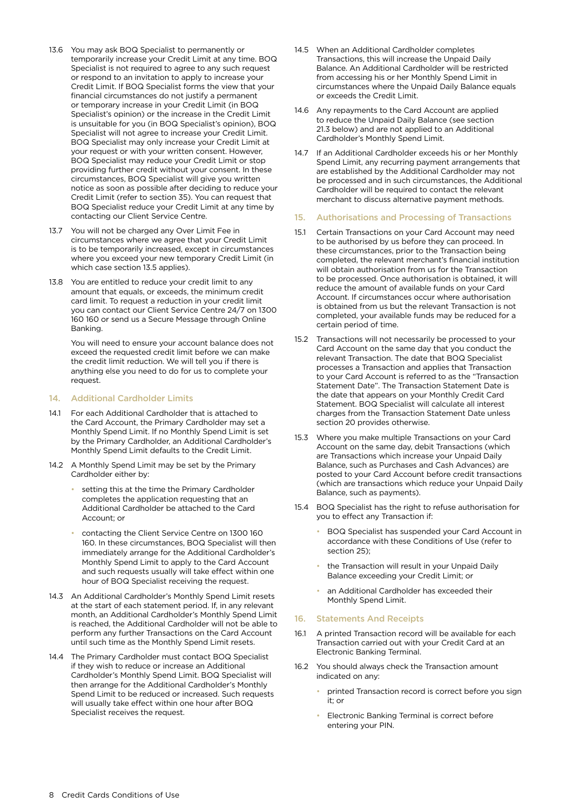- <span id="page-11-0"></span>13.6 You may ask BOQ Specialist to permanently or temporarily increase your Credit Limit at any time. BOQ Specialist is not required to agree to any such request or respond to an invitation to apply to increase your Credit Limit. If BOQ Specialist forms the view that your financial circumstances do not justify a permanent or temporary increase in your Credit Limit (in BOQ Specialist's opinion) or the increase in the Credit Limit is unsuitable for you (in BOQ Specialist's opinion), BOQ Specialist will not agree to increase your Credit Limit. BOQ Specialist may only increase your Credit Limit at your request or with your written consent. However, BOQ Specialist may reduce your Credit Limit or stop providing further credit without your consent. In these circumstances, BOQ Specialist will give you written notice as soon as possible after deciding to reduce your Credit Limit (refer to section 35). You can request that BOQ Specialist reduce your Credit Limit at any time by contacting our Client Service Centre.
- 13.7 You will not be charged any Over Limit Fee in circumstances where we agree that your Credit Limit is to be temporarily increased, except in circumstances where you exceed your new temporary Credit Limit (in which case section 13.5 applies).
- 13.8 You are entitled to reduce your credit limit to any amount that equals, or exceeds, the minimum credit card limit. To request a reduction in your credit limit you can contact our Client Service Centre 24/7 on 1300 160 160 or send us a Secure Message through Online Banking.

You will need to ensure your account balance does not exceed the requested credit limit before we can make the credit limit reduction. We will tell you if there is anything else you need to do for us to complete your request.

#### 14. Additional Cardholder Limits

- 14.1 For each Additional Cardholder that is attached to the Card Account, the Primary Cardholder may set a Monthly Spend Limit. If no Monthly Spend Limit is set by the Primary Cardholder, an Additional Cardholder's Monthly Spend Limit defaults to the Credit Limit.
- 14.2 A Monthly Spend Limit may be set by the Primary Cardholder either by:
	- setting this at the time the Primary Cardholder completes the application requesting that an Additional Cardholder be attached to the Card Account; or
	- contacting the Client Service Centre on 1300 160 160. In these circumstances, BOQ Specialist will then immediately arrange for the Additional Cardholder's Monthly Spend Limit to apply to the Card Account and such requests usually will take effect within one hour of BOQ Specialist receiving the request.
- 14.3 An Additional Cardholder's Monthly Spend Limit resets at the start of each statement period. If, in any relevant month, an Additional Cardholder's Monthly Spend Limit is reached, the Additional Cardholder will not be able to perform any further Transactions on the Card Account until such time as the Monthly Spend Limit resets.
- 14.4 The Primary Cardholder must contact BOQ Specialist if they wish to reduce or increase an Additional Cardholder's Monthly Spend Limit. BOQ Specialist will then arrange for the Additional Cardholder's Monthly Spend Limit to be reduced or increased. Such requests will usually take effect within one hour after BOQ Specialist receives the request.
- 14.5 When an Additional Cardholder completes Transactions, this will increase the Unpaid Daily Balance. An Additional Cardholder will be restricted from accessing his or her Monthly Spend Limit in circumstances where the Unpaid Daily Balance equals or exceeds the Credit Limit.
- 14.6 Any repayments to the Card Account are applied to reduce the Unpaid Daily Balance (see section 21.3 below) and are not applied to an Additional Cardholder's Monthly Spend Limit.
- 14.7 If an Additional Cardholder exceeds his or her Monthly Spend Limit, any recurring payment arrangements that are established by the Additional Cardholder may not be processed and in such circumstances, the Additional Cardholder will be required to contact the relevant merchant to discuss alternative payment methods.

#### 15. Authorisations and Processing of Transactions

- 15.1 Certain Transactions on your Card Account may need to be authorised by us before they can proceed. In these circumstances, prior to the Transaction being completed, the relevant merchant's financial institution will obtain authorisation from us for the Transaction to be processed. Once authorisation is obtained, it will reduce the amount of available funds on your Card Account. If circumstances occur where authorisation is obtained from us but the relevant Transaction is not completed, your available funds may be reduced for a certain period of time.
- 15.2 Transactions will not necessarily be processed to your Card Account on the same day that you conduct the relevant Transaction. The date that BOQ Specialist processes a Transaction and applies that Transaction to your Card Account is referred to as the "Transaction Statement Date". The Transaction Statement Date is the date that appears on your Monthly Credit Card Statement. BOQ Specialist will calculate all interest charges from the Transaction Statement Date unless section 20 provides otherwise.
- 15.3 Where you make multiple Transactions on your Card Account on the same day, debit Transactions (which are Transactions which increase your Unpaid Daily Balance, such as Purchases and Cash Advances) are posted to your Card Account before credit transactions (which are transactions which reduce your Unpaid Daily Balance, such as payments).
- 15.4 BOQ Specialist has the right to refuse authorisation for you to effect any Transaction if:
	- BOQ Specialist has suspended your Card Account in accordance with these Conditions of Use (refer to section 25);
	- the Transaction will result in your Unpaid Daily Balance exceeding your Credit Limit; or
	- an Additional Cardholder has exceeded their Monthly Spend Limit.

#### 16. Statements And Receipts

- 16.1 A printed Transaction record will be available for each Transaction carried out with your Credit Card at an Electronic Banking Terminal.
- 16.2 You should always check the Transaction amount indicated on any:
	- printed Transaction record is correct before you sign it; or
	- Electronic Banking Terminal is correct before entering your PIN.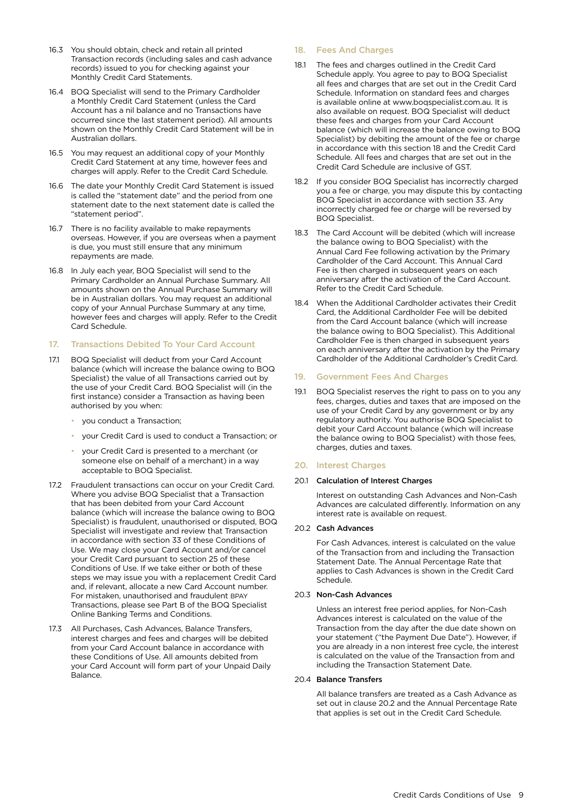- <span id="page-12-0"></span>16.3 You should obtain, check and retain all printed Transaction records (including sales and cash advance records) issued to you for checking against your Monthly Credit Card Statements.
- 16.4 BOQ Specialist will send to the Primary Cardholder a Monthly Credit Card Statement (unless the Card Account has a nil balance and no Transactions have occurred since the last statement period). All amounts shown on the Monthly Credit Card Statement will be in Australian dollars.
- 16.5 You may request an additional copy of your Monthly Credit Card Statement at any time, however fees and charges will apply. Refer to the Credit Card Schedule.
- 16.6 The date your Monthly Credit Card Statement is issued is called the "statement date" and the period from one statement date to the next statement date is called the "statement period".
- 16.7 There is no facility available to make repayments overseas. However, if you are overseas when a payment is due, you must still ensure that any minimum repayments are made.
- 16.8 In July each year, BOQ Specialist will send to the Primary Cardholder an Annual Purchase Summary. All amounts shown on the Annual Purchase Summary will be in Australian dollars. You may request an additional copy of your Annual Purchase Summary at any time, however fees and charges will apply. Refer to the Credit Card Schedule.

#### 17. Transactions Debited To Your Card Account

- 17.1 BOQ Specialist will deduct from your Card Account balance (which will increase the balance owing to BOQ Specialist) the value of all Transactions carried out by the use of your Credit Card. BOQ Specialist will (in the first instance) consider a Transaction as having been authorised by you when:
	- you conduct a Transaction;
	- your Credit Card is used to conduct a Transaction; or
	- your Credit Card is presented to a merchant (or someone else on behalf of a merchant) in a way acceptable to BOQ Specialist.
- 17.2 Fraudulent transactions can occur on your Credit Card. Where you advise BOQ Specialist that a Transaction that has been debited from your Card Account balance (which will increase the balance owing to BOQ Specialist) is fraudulent, unauthorised or disputed, BOQ Specialist will investigate and review that Transaction in accordance with section 33 of these Conditions of Use. We may close your Card Account and/or cancel your Credit Card pursuant to section 25 of these Conditions of Use. If we take either or both of these steps we may issue you with a replacement Credit Card and, if relevant, allocate a new Card Account number. For mistaken, unauthorised and fraudulent BPAY Transactions, please see Part B of the BOQ Specialist Online Banking Terms and Conditions.
- 17.3 All Purchases, Cash Advances, Balance Transfers, interest charges and fees and charges will be debited from your Card Account balance in accordance with these Conditions of Use. All amounts debited from your Card Account will form part of your Unpaid Daily Balance.

#### 18. Fees And Charges

- 18.1 The fees and charges outlined in the Credit Card Schedule apply. You agree to pay to BOQ Specialist all fees and charges that are set out in the Credit Card Schedule. Information on standard fees and charges is available online at [www.boqspecialist.com.au.](http://www.boqspecialist.com.au/) It is also available on request. BOQ Specialist will deduct these fees and charges from your Card Account balance (which will increase the balance owing to BOQ Specialist) by debiting the amount of the fee or charge in accordance with this section 18 and the Credit Card Schedule. All fees and charges that are set out in the Credit Card Schedule are inclusive of GST.
- 18.2 If you consider BOQ Specialist has incorrectly charged you a fee or charge, you may dispute this by contacting BOQ Specialist in accordance with section 33. Any incorrectly charged fee or charge will be reversed by BOQ Specialist.
- 18.3 The Card Account will be debited (which will increase the balance owing to BOQ Specialist) with the Annual Card Fee following activation by the Primary Cardholder of the Card Account. This Annual Card Fee is then charged in subsequent years on each anniversary after the activation of the Card Account. Refer to the Credit Card Schedule.
- 18.4 When the Additional Cardholder activates their Credit Card, the Additional Cardholder Fee will be debited from the Card Account balance (which will increase the balance owing to BOQ Specialist). This Additional Cardholder Fee is then charged in subsequent years on each anniversary after the activation by the Primary Cardholder of the Additional Cardholder's Credit Card.

#### 19. Government Fees And Charges

19.1 BOQ Specialist reserves the right to pass on to you any fees, charges, duties and taxes that are imposed on the use of your Credit Card by any government or by any regulatory authority. You authorise BOQ Specialist to debit your Card Account balance (which will increase the balance owing to BOQ Specialist) with those fees, charges, duties and taxes.

#### 20. Interest Charges

#### 20.1 Calculation of Interest Charges

Interest on outstanding Cash Advances and Non-Cash Advances are calculated differently. Information on any interest rate is available on request.

#### 20.2 Cash Advances

For Cash Advances, interest is calculated on the value of the Transaction from and including the Transaction Statement Date. The Annual Percentage Rate that applies to Cash Advances is shown in the Credit Card Schedule.

#### 20.3 Non-Cash Advances

Unless an interest free period applies, for Non-Cash Advances interest is calculated on the value of the Transaction from the day after the due date shown on your statement ("the Payment Due Date"). However, if you are already in a non interest free cycle, the interest is calculated on the value of the Transaction from and including the Transaction Statement Date.

#### 20.4 Balance Transfers

All balance transfers are treated as a Cash Advance as set out in clause 20.2 and the Annual Percentage Rate that applies is set out in the Credit Card Schedule.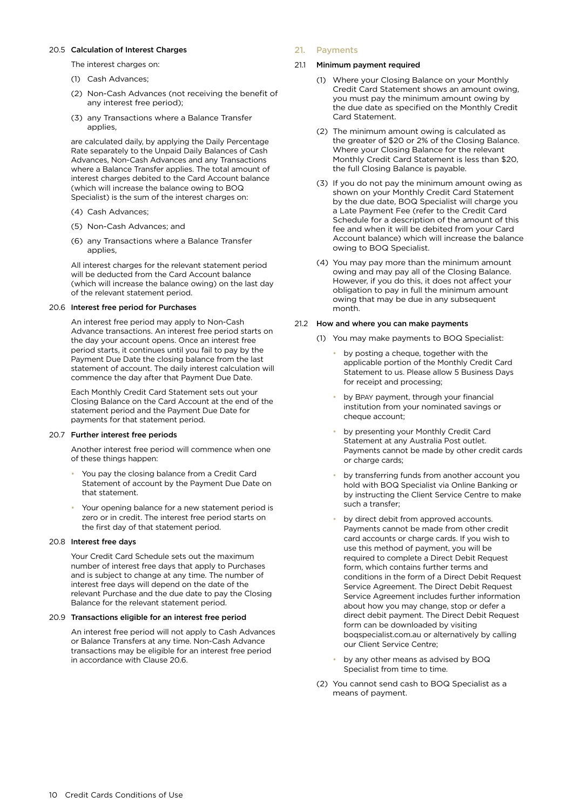#### <span id="page-13-0"></span>20.5 Calculation of Interest Charges

- The interest charges on:
- (1) Cash Advances;
- (2) Non-Cash Advances (not receiving the benefit of any interest free period);
- (3) any Transactions where a Balance Transfer applies,

are calculated daily, by applying the Daily Percentage Rate separately to the Unpaid Daily Balances of Cash Advances, Non-Cash Advances and any Transactions where a Balance Transfer applies. The total amount of interest charges debited to the Card Account balance (which will increase the balance owing to BOQ Specialist) is the sum of the interest charges on:

- (4) Cash Advances;
- (5) Non-Cash Advances; and
- (6) any Transactions where a Balance Transfer applies

All interest charges for the relevant statement period will be deducted from the Card Account balance (which will increase the balance owing) on the last day of the relevant statement period.

#### 20.6 Interest free period for Purchases

An interest free period may apply to Non-Cash Advance transactions. An interest free period starts on the day your account opens. Once an interest free period starts, it continues until you fail to pay by the Payment Due Date the closing balance from the last statement of account. The daily interest calculation will commence the day after that Payment Due Date.

Each Monthly Credit Card Statement sets out your Closing Balance on the Card Account at the end of the statement period and the Payment Due Date for payments for that statement period.

#### 20.7 Further interest free periods

Another interest free period will commence when one of these things happen:

- You pay the closing balance from a Credit Card Statement of account by the Payment Due Date on that statement.
- Your opening balance for a new statement period is zero or in credit. The interest free period starts on the first day of that statement period.

#### 20.8 Interest free days

Your Credit Card Schedule sets out the maximum number of interest free days that apply to Purchases and is subject to change at any time. The number of interest free days will depend on the date of the relevant Purchase and the due date to pay the Closing Balance for the relevant statement period.

#### 20.9 Transactions eligible for an interest free period

An interest free period will not apply to Cash Advances or Balance Transfers at any time. Non-Cash Advance transactions may be eligible for an interest free period in accordance with Clause 20.6.

#### 21. Payments

#### 21.1 Minimum payment required

- (1) Where your Closing Balance on your Monthly Credit Card Statement shows an amount owing, you must pay the minimum amount owing by the due date as specified on the Monthly Credit Card Statement.
- (2) The minimum amount owing is calculated as the greater of \$20 or 2% of the Closing Balance. Where your Closing Balance for the relevant Monthly Credit Card Statement is less than \$20, the full Closing Balance is payable.
- (3) If you do not pay the minimum amount owing as shown on your Monthly Credit Card Statement by the due date, BOQ Specialist will charge you a Late Payment Fee (refer to the Credit Card Schedule for a description of the amount of this fee and when it will be debited from your Card Account balance) which will increase the balance owing to BOQ Specialist.
- (4) You may pay more than the minimum amount owing and may pay all of the Closing Balance. However, if you do this, it does not affect your obligation to pay in full the minimum amount owing that may be due in any subsequent month.

#### 21.2 How and where you can make payments

- (1) You may make payments to BOQ Specialist:
	- by posting a cheque, together with the applicable portion of the Monthly Credit Card Statement to us. Please allow 5 Business Days for receipt and processing;
	- by BPAY payment, through your financial institution from your nominated savings or cheque account;
	- by presenting your Monthly Credit Card Statement at any Australia Post outlet. Payments cannot be made by other credit cards or charge cards;
	- by transferring funds from another account you hold with BOQ Specialist via Online Banking or by instructing the Client Service Centre to make such a transfer;
	- by direct debit from approved accounts. Payments cannot be made from other credit card accounts or charge cards. If you wish to use this method of payment, you will be required to complete a Direct Debit Request form, which contains further terms and conditions in the form of a Direct Debit Request Service Agreement. The Direct Debit Request Service Agreement includes further information about how you may change, stop or defer a direct debit payment. The Direct Debit Request form can be downloaded by visiting boqspecialist.com.au or alternatively by calling our Client Service Centre;
	- by any other means as advised by BOQ Specialist from time to time.
- (2) You cannot send cash to BOQ Specialist as a means of payment.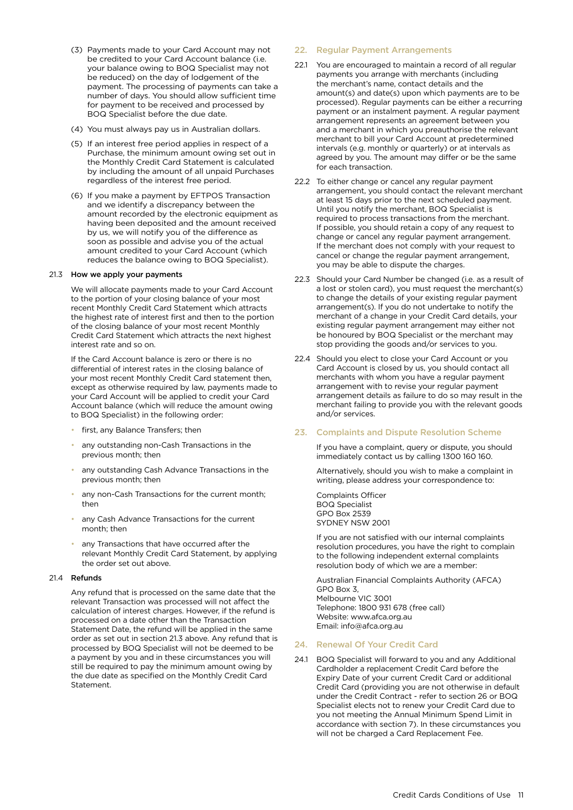- <span id="page-14-0"></span>(3) Payments made to your Card Account may not be credited to your Card Account balance (i.e. your balance owing to BOQ Specialist may not be reduced) on the day of lodgement of the payment. The processing of payments can take a number of days. You should allow sufficient time for payment to be received and processed by BOQ Specialist before the due date.
- (4) You must always pay us in Australian dollars.
- (5) If an interest free period applies in respect of a Purchase, the minimum amount owing set out in the Monthly Credit Card Statement is calculated by including the amount of all unpaid Purchases regardless of the interest free period.
- (6) If you make a payment by EFTPOS Transaction and we identify a discrepancy between the amount recorded by the electronic equipment as having been deposited and the amount received by us, we will notify you of the difference as soon as possible and advise you of the actual amount credited to your Card Account (which reduces the balance owing to BOQ Specialist).

#### 21.3 How we apply your payments

We will allocate payments made to your Card Account to the portion of your closing balance of your most recent Monthly Credit Card Statement which attracts the highest rate of interest first and then to the portion of the closing balance of your most recent Monthly Credit Card Statement which attracts the next highest interest rate and so on.

If the Card Account balance is zero or there is no differential of interest rates in the closing balance of your most recent Monthly Credit Card statement then, except as otherwise required by law, payments made to your Card Account will be applied to credit your Card Account balance (which will reduce the amount owing to BOQ Specialist) in the following order:

- first, any Balance Transfers; then
- any outstanding non-Cash Transactions in the previous month; then
- any outstanding Cash Advance Transactions in the previous month; then
- any non-Cash Transactions for the current month: then
- any Cash Advance Transactions for the current month; then
- any Transactions that have occurred after the relevant Monthly Credit Card Statement, by applying the order set out above.

#### 21.4 Refunds

Any refund that is processed on the same date that the relevant Transaction was processed will not affect the calculation of interest charges. However, if the refund is processed on a date other than the Transaction Statement Date, the refund will be applied in the same order as set out in section 21.3 above. Any refund that is processed by BOQ Specialist will not be deemed to be a payment by you and in these circumstances you will still be required to pay the minimum amount owing by the due date as specified on the Monthly Credit Card **Statement** 

#### 22. Regular Payment Arrangements

- 22.1 You are encouraged to maintain a record of all regular payments you arrange with merchants (including the merchant's name, contact details and the amount(s) and date(s) upon which payments are to be processed). Regular payments can be either a recurring payment or an instalment payment. A regular payment arrangement represents an agreement between you and a merchant in which you preauthorise the relevant merchant to bill your Card Account at predetermined intervals (e.g. monthly or quarterly) or at intervals as agreed by you. The amount may differ or be the same for each transaction.
- 22.2 To either change or cancel any regular payment arrangement, you should contact the relevant merchant at least 15 days prior to the next scheduled payment. Until you notify the merchant, BOQ Specialist is required to process transactions from the merchant. If possible, you should retain a copy of any request to change or cancel any regular payment arrangement. If the merchant does not comply with your request to cancel or change the regular payment arrangement, you may be able to dispute the charges.
- 22.3 Should your Card Number be changed (i.e. as a result of a lost or stolen card), you must request the merchant(s) to change the details of your existing regular payment arrangement(s). If you do not undertake to notify the merchant of a change in your Credit Card details, your existing regular payment arrangement may either not be honoured by BOQ Specialist or the merchant may stop providing the goods and/or services to you.
- 22.4 Should you elect to close your Card Account or you Card Account is closed by us, you should contact all merchants with whom you have a regular payment arrangement with to revise your regular payment arrangement details as failure to do so may result in the merchant failing to provide you with the relevant goods and/or services.

#### 23. Complaints and Dispute Resolution Scheme

If you have a complaint, query or dispute, you should immediately contact us by calling 1300 160 160.

Alternatively, should you wish to make a complaint in writing, please address your correspondence to:

Complaints Officer BOQ Specialist GPO Box 2539 SYDNEY NSW 2001

If you are not satisfied with our internal complaints resolution procedures, you have the right to complain to the following independent external complaints resolution body of which we are a member:

Australian Financial Complaints Authority (AFCA) GPO Box 3, Melbourne VIC 3001 Telephone: 1800 931 678 (free call) Website: [www.afca.org.au](http://www.afca.org.au/) Email: [info@afca.org.au](mailto:info@afca.org.au)

#### 24. Renewal Of Your Credit Card

24.1 BOQ Specialist will forward to you and any Additional Cardholder a replacement Credit Card before the Expiry Date of your current Credit Card or additional Credit Card (providing you are not otherwise in default under the Credit Contract - refer to section 26 or BOQ Specialist elects not to renew your Credit Card due to you not meeting the Annual Minimum Spend Limit in accordance with section 7). In these circumstances you will not be charged a Card Replacement Fee.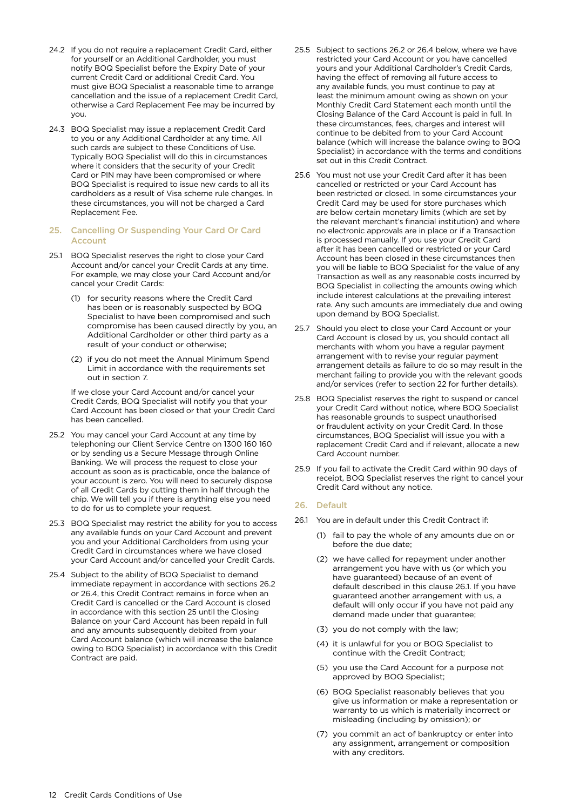- <span id="page-15-0"></span>24.2 If you do not require a replacement Credit Card, either for yourself or an Additional Cardholder, you must notify BOQ Specialist before the Expiry Date of your current Credit Card or additional Credit Card. You must give BOQ Specialist a reasonable time to arrange cancellation and the issue of a replacement Credit Card, otherwise a Card Replacement Fee may be incurred by you.
- 24.3 BOQ Specialist may issue a replacement Credit Card to you or any Additional Cardholder at any time. All such cards are subject to these Conditions of Use. Typically BOQ Specialist will do this in circumstances where it considers that the security of your Credit Card or PIN may have been compromised or where BOQ Specialist is required to issue new cards to all its cardholders as a result of Visa scheme rule changes. In these circumstances, you will not be charged a Card Replacement Fee.

#### 25. Cancelling Or Suspending Your Card Or Card Account

- 25.1 BOQ Specialist reserves the right to close your Card Account and/or cancel your Credit Cards at any time. For example, we may close your Card Account and/or cancel your Credit Cards:
	- (1) for security reasons where the Credit Card has been or is reasonably suspected by BOQ Specialist to have been compromised and such compromise has been caused directly by you, an Additional Cardholder or other third party as a result of your conduct or otherwise;
	- (2) if you do not meet the Annual Minimum Spend Limit in accordance with the requirements set out in section 7.

If we close your Card Account and/or cancel your Credit Cards, BOQ Specialist will notify you that your Card Account has been closed or that your Credit Card has been cancelled.

- 25.2 You may cancel your Card Account at any time by telephoning our Client Service Centre on 1300 160 160 or by sending us a Secure Message through Online Banking. We will process the request to close your account as soon as is practicable, once the balance of your account is zero. You will need to securely dispose of all Credit Cards by cutting them in half through the chip. We will tell you if there is anything else you need to do for us to complete your request.
- 25.3 BOQ Specialist may restrict the ability for you to access any available funds on your Card Account and prevent you and your Additional Cardholders from using your Credit Card in circumstances where we have closed your Card Account and/or cancelled your Credit Cards.
- 25.4 Subject to the ability of BOQ Specialist to demand immediate repayment in accordance with sections 26.2 or 26.4, this Credit Contract remains in force when an Credit Card is cancelled or the Card Account is closed in accordance with this section 25 until the Closing Balance on your Card Account has been repaid in full and any amounts subsequently debited from your Card Account balance (which will increase the balance owing to BOQ Specialist) in accordance with this Credit Contract are paid.
- 25.5 Subject to sections 26.2 or 26.4 below, where we have restricted your Card Account or you have cancelled yours and your Additional Cardholder's Credit Cards, having the effect of removing all future access to any available funds, you must continue to pay at least the minimum amount owing as shown on your Monthly Credit Card Statement each month until the Closing Balance of the Card Account is paid in full. In these circumstances, fees, charges and interest will continue to be debited from to your Card Account balance (which will increase the balance owing to BOQ Specialist) in accordance with the terms and conditions set out in this Credit Contract.
- 25.6 You must not use your Credit Card after it has been cancelled or restricted or your Card Account has been restricted or closed. In some circumstances your Credit Card may be used for store purchases which are below certain monetary limits (which are set by the relevant merchant's financial institution) and where no electronic approvals are in place or if a Transaction is processed manually. If you use your Credit Card after it has been cancelled or restricted or your Card Account has been closed in these circumstances then you will be liable to BOQ Specialist for the value of any Transaction as well as any reasonable costs incurred by BOQ Specialist in collecting the amounts owing which include interest calculations at the prevailing interest rate. Any such amounts are immediately due and owing upon demand by BOQ Specialist.
- 25.7 Should you elect to close your Card Account or your Card Account is closed by us, you should contact all merchants with whom you have a regular payment arrangement with to revise your regular payment arrangement details as failure to do so may result in the merchant failing to provide you with the relevant goods and/or services (refer to section 22 for further details).
- 25.8 BOQ Specialist reserves the right to suspend or cancel your Credit Card without notice, where BOQ Specialist has reasonable grounds to suspect unauthorised or fraudulent activity on your Credit Card. In those circumstances, BOQ Specialist will issue you with a replacement Credit Card and if relevant, allocate a new Card Account number.
- 25.9 If you fail to activate the Credit Card within 90 days of receipt, BOQ Specialist reserves the right to cancel your Credit Card without any notice.

#### 26. Default

- 26.1 You are in default under this Credit Contract if:
	- (1) fail to pay the whole of any amounts due on or before the due date;
	- (2) we have called for repayment under another arrangement you have with us (or which you have guaranteed) because of an event of default described in this clause 26.1. If you have guaranteed another arrangement with us, a default will only occur if you have not paid any demand made under that guarantee;
	- (3) you do not comply with the law;
	- (4) it is unlawful for you or BOQ Specialist to continue with the Credit Contract;
	- (5) you use the Card Account for a purpose not approved by BOQ Specialist;
	- (6) BOQ Specialist reasonably believes that you give us information or make a representation or warranty to us which is materially incorrect or misleading (including by omission); or
	- (7) you commit an act of bankruptcy or enter into any assignment, arrangement or composition with any creditors.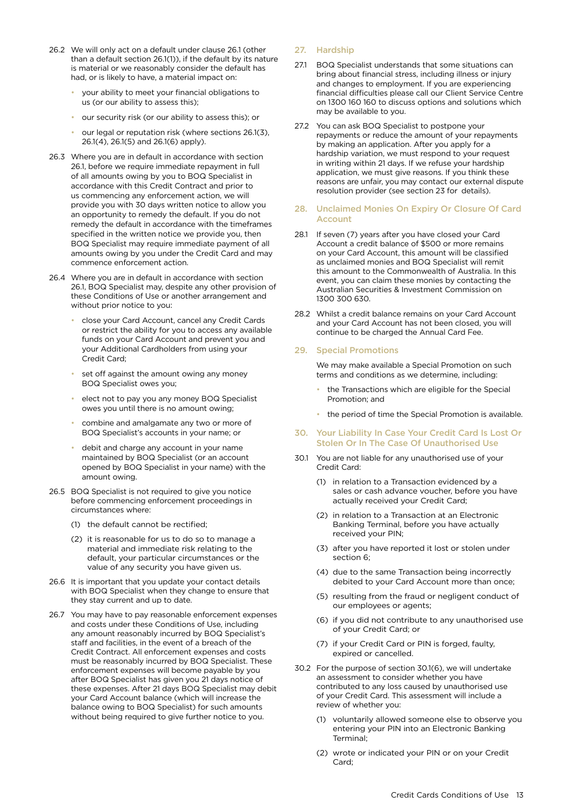- <span id="page-16-0"></span>26.2 We will only act on a default under clause 26.1 (other than a default section 26.1(1)), if the default by its nature is material or we reasonably consider the default has had, or is likely to have, a material impact on:
	- your ability to meet your financial obligations to us (or our ability to assess this);
	- our security risk (or our ability to assess this); or
	- our legal or reputation risk (where sections 26.1(3), 26.1(4), 26.1(5) and 26.1(6) apply).
- 26.3 Where you are in default in accordance with section 26.1, before we require immediate repayment in full of all amounts owing by you to BOQ Specialist in accordance with this Credit Contract and prior to us commencing any enforcement action, we will provide you with 30 days written notice to allow you an opportunity to remedy the default. If you do not remedy the default in accordance with the timeframes specified in the written notice we provide you, then BOQ Specialist may require immediate payment of all amounts owing by you under the Credit Card and may commence enforcement action.
- 26.4 Where you are in default in accordance with section 26.1, BOQ Specialist may, despite any other provision of these Conditions of Use or another arrangement and without prior notice to you:
	- close your Card Account, cancel any Credit Cards or restrict the ability for you to access any available funds on your Card Account and prevent you and your Additional Cardholders from using your Credit Card;
	- set off against the amount owing any money BOQ Specialist owes you;
	- elect not to pay you any money BOQ Specialist owes you until there is no amount owing;
	- combine and amalgamate any two or more of BOQ Specialist's accounts in your name; or
	- debit and charge any account in your name maintained by BOQ Specialist (or an account opened by BOQ Specialist in your name) with the amount owing.
- 26.5 BOQ Specialist is not required to give you notice before commencing enforcement proceedings in circumstances where:
	- (1) the default cannot be rectified;
	- (2) it is reasonable for us to do so to manage a material and immediate risk relating to the default, your particular circumstances or the value of any security you have given us.
- 26.6 It is important that you update your contact details with BOQ Specialist when they change to ensure that they stay current and up to date.
- 26.7 You may have to pay reasonable enforcement expenses and costs under these Conditions of Use, including any amount reasonably incurred by BOQ Specialist's staff and facilities, in the event of a breach of the Credit Contract. All enforcement expenses and costs must be reasonably incurred by BOQ Specialist. These enforcement expenses will become payable by you after BOQ Specialist has given you 21 days notice of these expenses. After 21 days BOQ Specialist may debit your Card Account balance (which will increase the balance owing to BOQ Specialist) for such amounts without being required to give further notice to you.
- 27. Hardship
- 27.1 BOQ Specialist understands that some situations can bring about financial stress, including illness or injury and changes to employment. If you are experiencing financial difficulties please call our Client Service Centre on 1300 160 160 to discuss options and solutions which may be available to you.
- 27.2 You can ask BOQ Specialist to postpone your repayments or reduce the amount of your repayments by making an application. After you apply for a hardship variation, we must respond to your request in writing within 21 days. If we refuse your hardship application, we must give reasons. If you think these reasons are unfair, you may contact our external dispute resolution provider (see section 23 for details).
- 28. Unclaimed Monies On Expiry Or Closure Of Card Account
- 28.1 If seven (7) years after you have closed your Card Account a credit balance of \$500 or more remains on your Card Account, this amount will be classified as unclaimed monies and BOQ Specialist will remit this amount to the Commonwealth of Australia. In this event, you can claim these monies by contacting the Australian Securities & Investment Commission on 1300 300 630.
- 28.2 Whilst a credit balance remains on your Card Account and your Card Account has not been closed, you will continue to be charged the Annual Card Fee.
- 29. Special Promotions

We may make available a Special Promotion on such terms and conditions as we determine, including:

- the Transactions which are eligible for the Special Promotion; and
- the period of time the Special Promotion is available.
- 30. Your Liability In Case Your Credit Card Is Lost Or Stolen Or In The Case Of Unauthorised Use
- 30.1 You are not liable for any unauthorised use of your Credit Card:
	- (1) in relation to a Transaction evidenced by a sales or cash advance voucher, before you have actually received your Credit Card;
	- (2) in relation to a Transaction at an Electronic Banking Terminal, before you have actually received your PIN;
	- (3) after you have reported it lost or stolen under section 6;
	- (4) due to the same Transaction being incorrectly debited to your Card Account more than once;
	- (5) resulting from the fraud or negligent conduct of our employees or agents;
	- (6) if you did not contribute to any unauthorised use of your Credit Card; or
	- (7) if your Credit Card or PIN is forged, faulty, expired or cancelled.
- 30.2 For the purpose of section 30.1(6), we will undertake an assessment to consider whether you have contributed to any loss caused by unauthorised use of your Credit Card. This assessment will include a review of whether you:
	- (1) voluntarily allowed someone else to observe you entering your PIN into an Electronic Banking Terminal;
	- (2) wrote or indicated your PIN or on your Credit Card;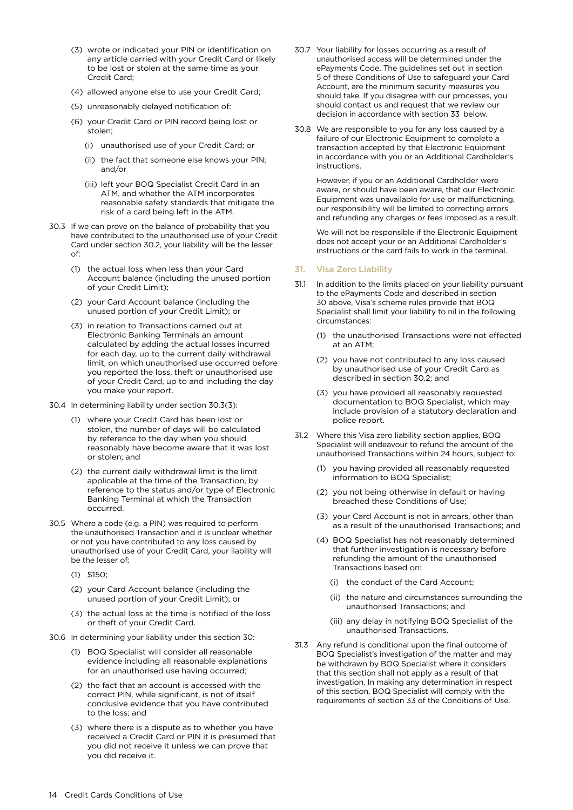- <span id="page-17-0"></span>(3) wrote or indicated your PIN or identification on any article carried with your Credit Card or likely to be lost or stolen at the same time as your Credit Card;
- (4) allowed anyone else to use your Credit Card;
- (5) unreasonably delayed notification of:
- (6) your Credit Card or PIN record being lost or stolen;
	- (i) unauthorised use of your Credit Card; or
	- (ii) the fact that someone else knows your PIN; and/or
	- (iii) left your BOQ Specialist Credit Card in an ATM, and whether the ATM incorporates reasonable safety standards that mitigate the risk of a card being left in the ATM.
- 30.3 If we can prove on the balance of probability that you have contributed to the unauthorised use of your Credit Card under section 30.2, your liability will be the lesser of:
	- (1) the actual loss when less than your Card Account balance (including the unused portion of your Credit Limit);
	- (2) your Card Account balance (including the unused portion of your Credit Limit); or
	- (3) in relation to Transactions carried out at Electronic Banking Terminals an amount calculated by adding the actual losses incurred for each day, up to the current daily withdrawal limit, on which unauthorised use occurred before you reported the loss, theft or unauthorised use of your Credit Card, up to and including the day you make your report.
- 30.4 In determining liability under section 30.3(3):
	- (1) where your Credit Card has been lost or stolen, the number of days will be calculated by reference to the day when you should reasonably have become aware that it was lost or stolen; and
	- (2) the current daily withdrawal limit is the limit applicable at the time of the Transaction, by reference to the status and/or type of Electronic Banking Terminal at which the Transaction occurred.
- 30.5 Where a code (e.g. a PIN) was required to perform the unauthorised Transaction and it is unclear whether or not you have contributed to any loss caused by unauthorised use of your Credit Card, your liability will be the lesser of:
	- (1) \$150;
	- (2) your Card Account balance (including the unused portion of your Credit Limit); or
	- (3) the actual loss at the time is notified of the loss or theft of your Credit Card.
- 30.6 In determining your liability under this section 30:
	- (1) BOQ Specialist will consider all reasonable evidence including all reasonable explanations for an unauthorised use having occurred;
	- (2) the fact that an account is accessed with the correct PIN, while significant, is not of itself conclusive evidence that you have contributed to the loss; and
	- (3) where there is a dispute as to whether you have received a Credit Card or PIN it is presumed that you did not receive it unless we can prove that you did receive it.
- 30.7 Your liability for losses occurring as a result of unauthorised access will be determined under the ePayments Code. The guidelines set out in section 5 of these Conditions of Use to safeguard your Card Account, are the minimum security measures you should take. If you disagree with our processes, you should contact us and request that we review our decision in accordance with section 33 below.
- 30.8 We are responsible to you for any loss caused by a failure of our Electronic Equipment to complete a transaction accepted by that Electronic Equipment in accordance with you or an Additional Cardholder's instructions.

However, if you or an Additional Cardholder were aware, or should have been aware, that our Electronic Equipment was unavailable for use or malfunctioning, our responsibility will be limited to correcting errors and refunding any charges or fees imposed as a result.

We will not be responsible if the Electronic Equipment does not accept your or an Additional Cardholder's instructions or the card fails to work in the terminal.

#### 31. Visa Zero Liability

- 31.1 In addition to the limits placed on your liability pursuant to the ePayments Code and described in section 30 above, Visa's scheme rules provide that BOQ Specialist shall limit your liability to nil in the following circumstances:
	- (1) the unauthorised Transactions were not effected at an ATM;
	- (2) you have not contributed to any loss caused by unauthorised use of your Credit Card as described in section 30.2; and
	- (3) you have provided all reasonably requested documentation to BOQ Specialist, which may include provision of a statutory declaration and police report.
- 31.2 Where this Visa zero liability section applies, BOQ Specialist will endeavour to refund the amount of the unauthorised Transactions within 24 hours, subject to:
	- (1) you having provided all reasonably requested information to BOQ Specialist;
	- (2) you not being otherwise in default or having breached these Conditions of Use;
	- (3) your Card Account is not in arrears, other than as a result of the unauthorised Transactions; and
	- (4) BOQ Specialist has not reasonably determined that further investigation is necessary before refunding the amount of the unauthorised Transactions based on:
		- (i) the conduct of the Card Account;
		- (ii) the nature and circumstances surrounding the unauthorised Transactions; and
		- (iii) any delay in notifying BOQ Specialist of the unauthorised Transactions.
- 31.3 Any refund is conditional upon the final outcome of BOQ Specialist's investigation of the matter and may be withdrawn by BOQ Specialist where it considers that this section shall not apply as a result of that investigation. In making any determination in respect of this section, BOQ Specialist will comply with the requirements of section 33 of the Conditions of Use.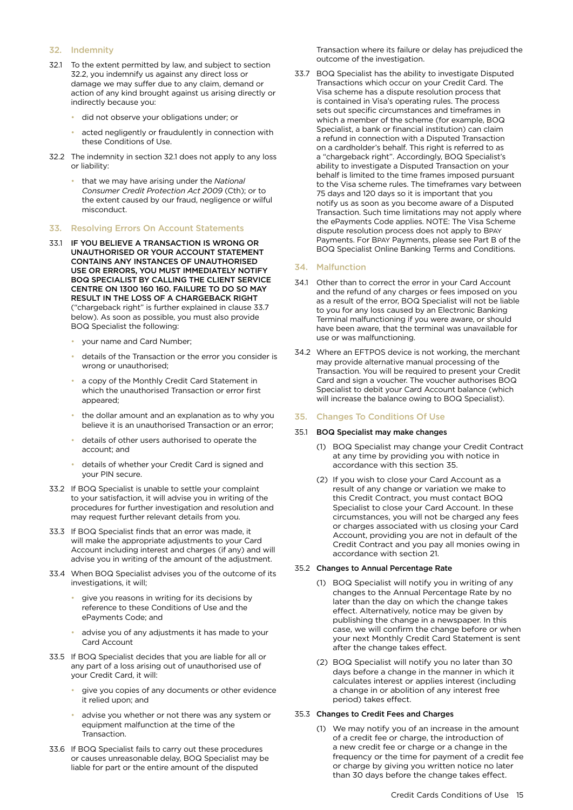#### <span id="page-18-0"></span>32. Indemnity

- 32.1 To the extent permitted by law, and subject to section 32.2, you indemnify us against any direct loss or damage we may suffer due to any claim, demand or action of any kind brought against us arising directly or indirectly because you:
	- did not observe your obligations under; or
	- acted negligently or fraudulently in connection with these Conditions of Use.
- 32.2 The indemnity in section 32.1 does not apply to any loss or liability:
	- that we may have arising under the *National Consumer Credit Protection Act 2009* (Cth); or to the extent caused by our fraud, negligence or wilful misconduct.

#### 33. Resolving Errors On Account Statements

- 33.1 IF YOU BELIEVE A TRANSACTION IS WRONG OR UNAUTHORISED OR YOUR ACCOUNT STATEMENT CONTAINS ANY INSTANCES OF UNAUTHORISED USE OR ERRORS, YOU MUST IMMEDIATELY NOTIFY BOQ SPECIALIST BY CALLING THE CLIENT SERVICE CENTRE ON 1300 160 160. FAILURE TO DO SO MAY RESULT IN THE LOSS OF A CHARGEBACK RIGHT ("chargeback right" is further explained in clause 33.7 below). As soon as possible, you must also provide BOQ Specialist the following:
	- your name and Card Number;
	- details of the Transaction or the error you consider is wrong or unauthorised;
	- a copy of the Monthly Credit Card Statement in which the unauthorised Transaction or error first appeared;
	- the dollar amount and an explanation as to why you believe it is an unauthorised Transaction or an error;
	- details of other users authorised to operate the account; and
	- details of whether your Credit Card is signed and your PIN secure.
- 33.2 If BOQ Specialist is unable to settle your complaint to your satisfaction, it will advise you in writing of the procedures for further investigation and resolution and may request further relevant details from you.
- 33.3 If BOQ Specialist finds that an error was made, it will make the appropriate adjustments to your Card Account including interest and charges (if any) and will advise you in writing of the amount of the adjustment.
- 33.4 When BOQ Specialist advises you of the outcome of its investigations, it will;
	- give you reasons in writing for its decisions by reference to these Conditions of Use and the ePayments Code; and
	- advise you of any adjustments it has made to your Card Account
- 33.5 If BOQ Specialist decides that you are liable for all or any part of a loss arising out of unauthorised use of your Credit Card, it will:
	- give you copies of any documents or other evidence it relied upon; and
	- advise you whether or not there was any system or equipment malfunction at the time of the Transaction.
- 33.6 If BOQ Specialist fails to carry out these procedures or causes unreasonable delay, BOQ Specialist may be liable for part or the entire amount of the disputed

Transaction where its failure or delay has prejudiced the outcome of the investigation.

33.7 BOQ Specialist has the ability to investigate Disputed Transactions which occur on your Credit Card. The Visa scheme has a dispute resolution process that is contained in Visa's operating rules. The process sets out specific circumstances and timeframes in which a member of the scheme (for example, BOQ Specialist, a bank or financial institution) can claim a refund in connection with a Disputed Transaction on a cardholder's behalf. This right is referred to as a "chargeback right". Accordingly, BOQ Specialist's ability to investigate a Disputed Transaction on your behalf is limited to the time frames imposed pursuant to the Visa scheme rules. The timeframes vary between 75 days and 120 days so it is important that you notify us as soon as you become aware of a Disputed Transaction. Such time limitations may not apply where the ePayments Code applies. NOTE: The Visa Scheme dispute resolution process does not apply to BPAY Payments. For BPAY Payments, please see Part B of the BOQ Specialist Online Banking Terms and Conditions.

#### 34. Malfunction

- 34.1 Other than to correct the error in your Card Account and the refund of any charges or fees imposed on you as a result of the error, BOQ Specialist will not be liable to you for any loss caused by an Electronic Banking Terminal malfunctioning if you were aware, or should have been aware, that the terminal was unavailable for use or was malfunctioning.
- 34.2 Where an EFTPOS device is not working, the merchant may provide alternative manual processing of the Transaction. You will be required to present your Credit Card and sign a voucher. The voucher authorises BOQ Specialist to debit your Card Account balance (which will increase the balance owing to BOQ Specialist).

#### 35. Changes To Conditions Of Use

#### 35.1 BOQ Specialist may make changes

- (1) BOQ Specialist may change your Credit Contract at any time by providing you with notice in accordance with this section 35.
- (2) If you wish to close your Card Account as a result of any change or variation we make to this Credit Contract, you must contact BOQ Specialist to close your Card Account. In these circumstances, you will not be charged any fees or charges associated with us closing your Card Account, providing you are not in default of the Credit Contract and you pay all monies owing in accordance with section 21.

#### 35.2 Changes to Annual Percentage Rate

- (1) BOQ Specialist will notify you in writing of any changes to the Annual Percentage Rate by no later than the day on which the change takes effect. Alternatively, notice may be given by publishing the change in a newspaper. In this case, we will confirm the change before or when your next Monthly Credit Card Statement is sent after the change takes effect.
- (2) BOQ Specialist will notify you no later than 30 days before a change in the manner in which it calculates interest or applies interest (including a change in or abolition of any interest free period) takes effect.

#### 35.3 Changes to Credit Fees and Charges

(1) We may notify you of an increase in the amount of a credit fee or charge, the introduction of a new credit fee or charge or a change in the frequency or the time for payment of a credit fee or charge by giving you written notice no later than 30 days before the change takes effect.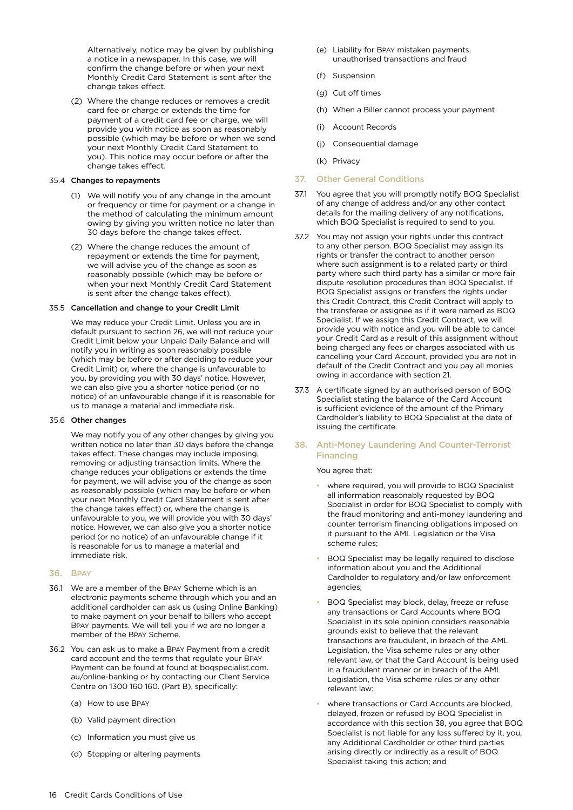<span id="page-19-0"></span>Alternatively, notice may be given by publishing a notice in a newspaper. In this case, we will confirm the change before or when your next Monthly Credit Card Statement is sent after the change takes effect.

(2) Where the change reduces or removes a credit card fee or charge or extends the time for payment of a credit card fee or charge, we will provide you with notice as soon as reasonably possible (which may be before or when we send your next Monthly Credit Card Statement to you). This notice may occur before or after the change takes effect.

#### 35.4 Changes to repayments

- (1) We will notify you of any change in the amount or frequency or time for payment or a change in the method of calculating the minimum amount owing by giving you written notice no later than 30 days before the change takes effect.
- (2) Where the change reduces the amount of repayment or extends the time for payment, we will advise you of the change as soon as reasonably possible (which may be before or when your next Monthly Credit Card Statement is sent after the change takes effect).

#### 35.5 Cancellation and change to your Credit Limit

We may reduce your Credit Limit. Unless you are in default pursuant to section 26, we will not reduce your Credit Limit below your Unpaid Daily Balance and will notify you in writing as soon reasonably possible (which may be before or after deciding to reduce your Credit Limit) or, where the change is unfavourable to you, by providing you with 30 days' notice. However, we can also give you a shorter notice period (or no notice) of an unfavourable change if it is reasonable for us to manage a material and immediate risk.

#### 35.6 Other changes

We may notify you of any other changes by giving you written notice no later than 30 days before the change takes effect. These changes may include imposing, removing or adjusting transaction limits. Where the change reduces your obligations or extends the time for payment, we will advise you of the change as soon as reasonably possible (which may be before or when your next Monthly Credit Card Statement is sent after the change takes effect) or, where the change is unfavourable to you, we will provide you with 30 days' notice. However, we can also give you a shorter notice period (or no notice) of an unfavourable change if it is reasonable for us to manage a material and immediate risk.

#### 36. BPAY

- 36.1 We are a member of the BPAY Scheme which is an electronic payments scheme through which you and an additional cardholder can ask us (using Online Banking) to make payment on your behalf to billers who accept BPAY payments. We will tell you if we are no longer a member of the BPAY Scheme.
- 36.2 You can ask us to make a BPAY Payment from a credit card account and the terms that regulate your BPAY Payment can be found at found at boqspecialist.com. au/online-banking or by contacting our Client Service Centre on 1300 160 160. (Part B), specifically:
	- (a) How to use BPAY
	- (b) Valid payment direction
	- (c) Information you must give us
	- (d) Stopping or altering payments
- (e) Liability for BPAY mistaken payments, unauthorised transactions and fraud
- (f) Suspension
- (g) Cut off times
- (h) When a Biller cannot process your payment
- (i) Account Records
- (j) Consequential damage
- (k) Privacy

#### 37. Other General Conditions

- 37.1 You agree that you will promptly notify BOQ Specialist of any change of address and/or any other contact details for the mailing delivery of any notifications, which BOQ Specialist is required to send to you.
- 37.2 You may not assign your rights under this contract to any other person. BOQ Specialist may assign its rights or transfer the contract to another person where such assignment is to a related party or third party where such third party has a similar or more fair dispute resolution procedures than BOQ Specialist. If BOQ Specialist assigns or transfers the rights under this Credit Contract, this Credit Contract will apply to the transferee or assignee as if it were named as BOQ Specialist. If we assign this Credit Contract, we will provide you with notice and you will be able to cancel your Credit Card as a result of this assignment without being charged any fees or charges associated with us cancelling your Card Account, provided you are not in default of the Credit Contract and you pay all monies owing in accordance with section 21.
- 37.3 A certificate signed by an authorised person of BOQ Specialist stating the balance of the Card Account is sufficient evidence of the amount of the Primary Cardholder's liability to BOQ Specialist at the date of issuing the certificate.

#### 38. Anti-Money Laundering And Counter-Terrorist Financing

You agree that:

- where required, you will provide to BOQ Specialist all information reasonably requested by BOQ Specialist in order for BOQ Specialist to comply with the fraud monitoring and anti-money laundering and counter terrorism financing obligations imposed on it pursuant to the AML Legislation or the Visa scheme rules;
- BOQ Specialist may be legally required to disclose information about you and the Additional Cardholder to regulatory and/or law enforcement agencies;
- BOQ Specialist may block, delay, freeze or refuse any transactions or Card Accounts where BOQ Specialist in its sole opinion considers reasonable grounds exist to believe that the relevant transactions are fraudulent, in breach of the AML Legislation, the Visa scheme rules or any other relevant law, or that the Card Account is being used in a fraudulent manner or in breach of the AML Legislation, the Visa scheme rules or any other relevant law;
- where transactions or Card Accounts are blocked, delayed, frozen or refused by BOQ Specialist in accordance with this section 38, you agree that BOQ Specialist is not liable for any loss suffered by it, you, any Additional Cardholder or other third parties arising directly or indirectly as a result of BOQ Specialist taking this action; and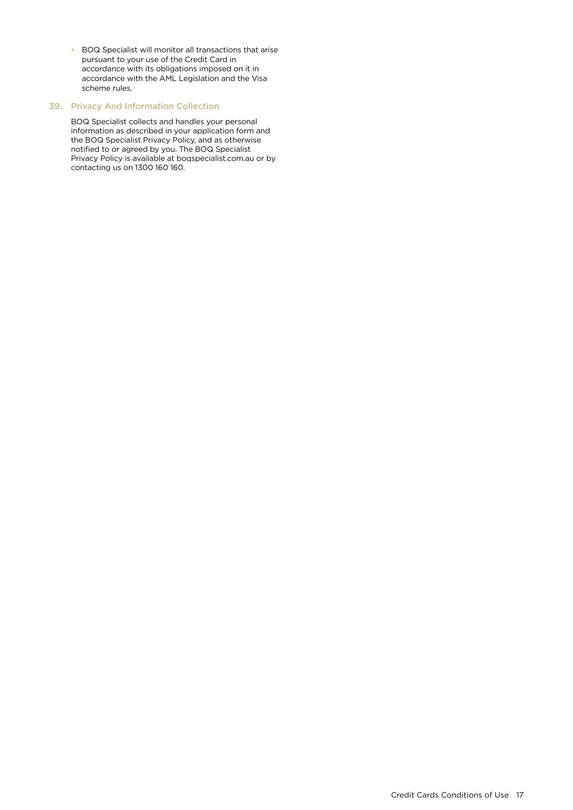<span id="page-20-0"></span>• BOQ Specialist will monitor all transactions that arise pursuant to your use of the Credit Card in accordance with its obligations imposed on it in accordance with the AML Legislation and the Visa scheme rules.

#### 39. Privacy And Information Collection

BOQ Specialist collects and handles your personal information as described in your application form and the BOQ Specialist Privacy Policy, and as otherwise notified to or agreed by you. The BOQ Specialist Privacy Policy is available at boqspecialist.com.au or by contacting us on 1300 160 160.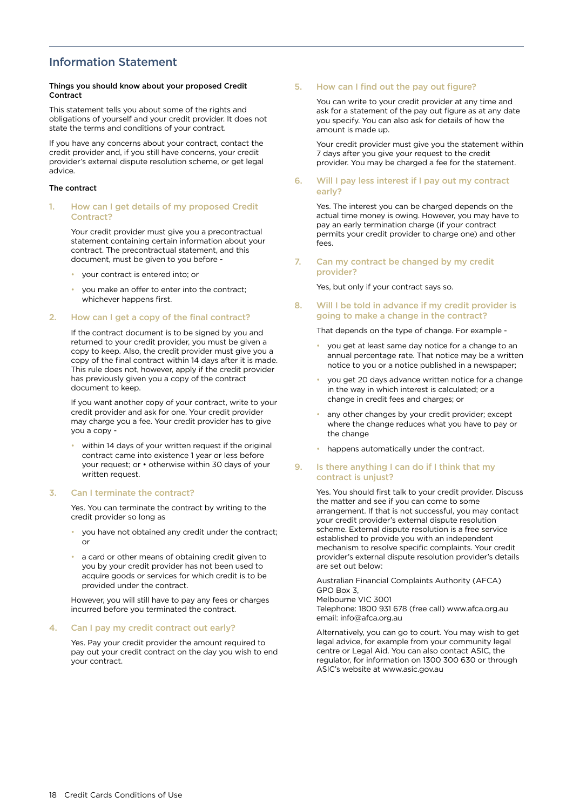# <span id="page-21-0"></span>Information Statement

#### Things you should know about your proposed Credit **Contract**

This statement tells you about some of the rights and obligations of yourself and your credit provider. It does not state the terms and conditions of your contract.

If you have any concerns about your contract, contact the credit provider and, if you still have concerns, your credit provider's external dispute resolution scheme, or get legal advice.

#### The contract

#### 1. How can I get details of my proposed Credit Contract?

Your credit provider must give you a precontractual statement containing certain information about your contract. The precontractual statement, and this document, must be given to you before -

- your contract is entered into; or
- you make an offer to enter into the contract; whichever happens first.

#### 2. How can I get a copy of the final contract?

If the contract document is to be signed by you and returned to your credit provider, you must be given a copy to keep. Also, the credit provider must give you a copy of the final contract within 14 days after it is made. This rule does not, however, apply if the credit provider has previously given you a copy of the contract document to keep.

If you want another copy of your contract, write to your credit provider and ask for one. Your credit provider may charge you a fee. Your credit provider has to give you a copy -

within 14 days of your written request if the original contract came into existence 1 year or less before your request; or • otherwise within 30 days of your written request.

#### 3. Can I terminate the contract?

Yes. You can terminate the contract by writing to the credit provider so long as

- you have not obtained any credit under the contract; or
- a card or other means of obtaining credit given to you by your credit provider has not been used to acquire goods or services for which credit is to be provided under the contract.

However, you will still have to pay any fees or charges incurred before you terminated the contract.

#### 4. Can I pay my credit contract out early?

Yes. Pay your credit provider the amount required to pay out your credit contract on the day you wish to end your contract.

#### 5. How can I find out the pay out figure?

You can write to your credit provider at any time and ask for a statement of the pay out figure as at any date you specify. You can also ask for details of how the amount is made up.

Your credit provider must give you the statement within 7 days after you give your request to the credit provider. You may be charged a fee for the statement.

#### 6. Will I pay less interest if I pay out my contract early?

Yes. The interest you can be charged depends on the actual time money is owing. However, you may have to pay an early termination charge (if your contract permits your credit provider to charge one) and other fees.

#### 7. Can my contract be changed by my credit provider?

Yes, but only if your contract says so.

#### 8. Will I be told in advance if my credit provider is going to make a change in the contract?

That depends on the type of change. For example -

- you get at least same day notice for a change to an annual percentage rate. That notice may be a written notice to you or a notice published in a newspaper;
- you get 20 days advance written notice for a change in the way in which interest is calculated; or a change in credit fees and charges; or
- any other changes by your credit provider; except where the change reduces what you have to pay or the change
- happens automatically under the contract.

#### 9. Is there anything I can do if I think that my contract is unjust?

Yes. You should first talk to your credit provider. Discuss the matter and see if you can come to some arrangement. If that is not successful, you may contact your credit provider's external dispute resolution scheme. External dispute resolution is a free service established to provide you with an independent mechanism to resolve specific complaints. Your credit provider's external dispute resolution provider's details are set out below:

Australian Financial Complaints Authority (AFCA) GPO Box 3, Melbourne VIC 3001

Telephone: 1800 931 678 (free call) [www.afca.org.au](http://www.afca.org.au/)  email: [info@afca.org.au](mailto:info@afca.org.au)

Alternatively, you can go to court. You may wish to get legal advice, for example from your community legal centre or Legal Aid. You can also contact ASIC, the regulator, for information on 1300 300 630 or through ASIC's website at [www.asic.gov.au](http://www.asic.gov.au/)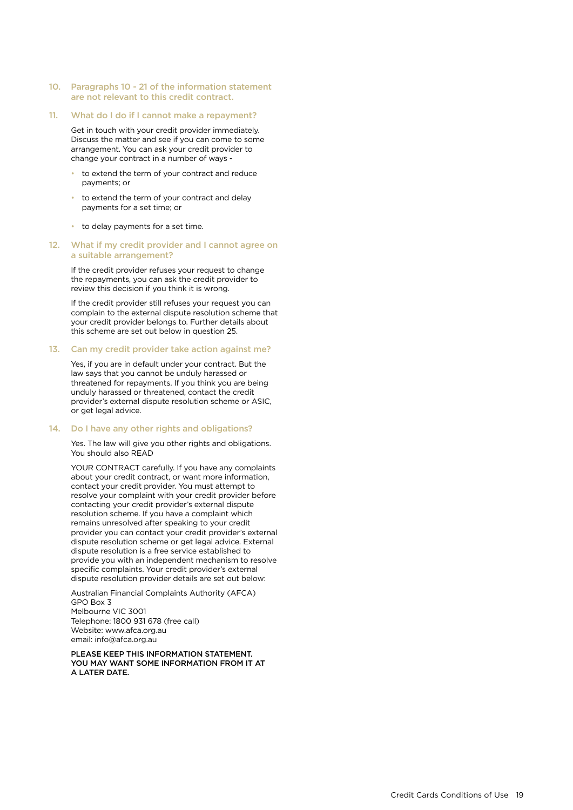#### 10. Paragraphs 10 - 21 of the information statement are not relevant to this credit contract.

#### 11. What do I do if I cannot make a repayment?

Get in touch with your credit provider immediately. Discuss the matter and see if you can come to some arrangement. You can ask your credit provider to change your contract in a number of ways -

- to extend the term of your contract and reduce payments; or
- to extend the term of your contract and delay payments for a set time; or
- to delay payments for a set time.

#### 12. What if my credit provider and I cannot agree on a suitable arrangement?

If the credit provider refuses your request to change the repayments, you can ask the credit provider to review this decision if you think it is wrong.

If the credit provider still refuses your request you can complain to the external dispute resolution scheme that your credit provider belongs to. Further details about this scheme are set out below in question 25.

#### 13. Can my credit provider take action against me?

Yes, if you are in default under your contract. But the law says that you cannot be unduly harassed or threatened for repayments. If you think you are being unduly harassed or threatened, contact the credit provider's external dispute resolution scheme or ASIC, or get legal advice.

#### 14. Do I have any other rights and obligations?

Yes. The law will give you other rights and obligations. You should also READ

YOUR CONTRACT carefully. If you have any complaints about your credit contract, or want more information, contact your credit provider. You must attempt to resolve your complaint with your credit provider before contacting your credit provider's external dispute resolution scheme. If you have a complaint which remains unresolved after speaking to your credit provider you can contact your credit provider's external dispute resolution scheme or get legal advice. External dispute resolution is a free service established to provide you with an independent mechanism to resolve specific complaints. Your credit provider's external dispute resolution provider details are set out below:

Australian Financial Complaints Authority (AFCA) GPO Box 3 Melbourne VIC 3001 Telephone: 1800 931 678 (free call) Website: [www.afca.org.au](http://www.afca.org.au/) email: [info@afca.org.au](mailto:info@afca.org.au)

PLEASE KEEP THIS INFORMATION STATEMENT. YOU MAY WANT SOME INFORMATION FROM IT AT A LATER DATE.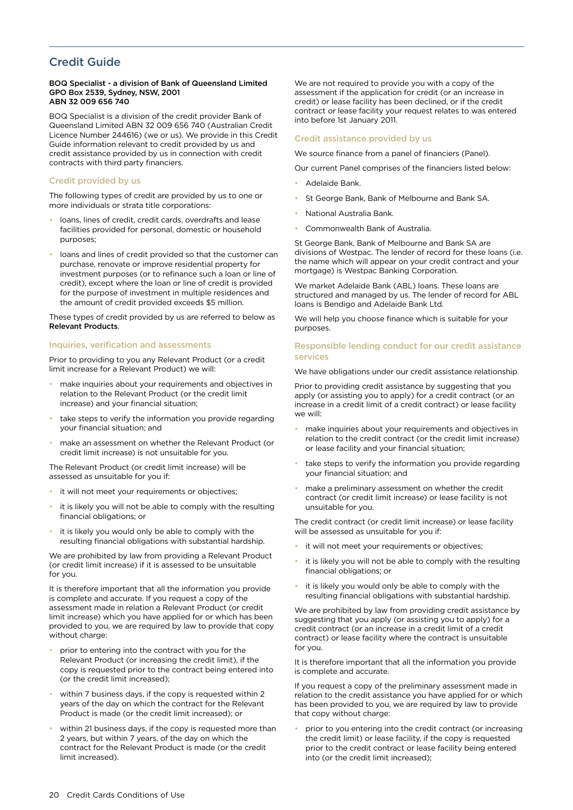# <span id="page-23-0"></span>Credit Guide

#### BOQ Specialist - a division of Bank of Queensland Limited GPO Box 2539, Sydney, NSW, 2001 ABN 32 009 656 740

BOQ Specialist is a division of the credit provider Bank of Queensland Limited ABN 32 009 656 740 (Australian Credit Licence Number 244616) (we or us). We provide in this Credit Guide information relevant to credit provided by us and credit assistance provided by us in connection with credit contracts with third party financiers.

#### Credit provided by us

The following types of credit are provided by us to one or more individuals or strata title corporations:

- loans, lines of credit, credit cards, overdrafts and lease facilities provided for personal, domestic or household purposes;
- loans and lines of credit provided so that the customer can purchase, renovate or improve residential property for investment purposes (or to refinance such a loan or line of credit), except where the loan or line of credit is provided for the purpose of investment in multiple residences and the amount of credit provided exceeds \$5 million.

These types of credit provided by us are referred to below as Relevant Products.

#### Inquiries, verification and assessments

Prior to providing to you any Relevant Product (or a credit limit increase for a Relevant Product) we will:

- make inquiries about your requirements and objectives in relation to the Relevant Product (or the credit limit increase) and your financial situation;
- take steps to verify the information you provide regarding your financial situation; and
- make an assessment on whether the Relevant Product (or credit limit increase) is not unsuitable for you.

The Relevant Product (or credit limit increase) will be assessed as unsuitable for you if:

- it will not meet your requirements or objectives;
- it is likely you will not be able to comply with the resulting financial obligations; or
- it is likely you would only be able to comply with the resulting financial obligations with substantial hardship.

We are prohibited by law from providing a Relevant Product (or credit limit increase) if it is assessed to be unsuitable for you.

It is therefore important that all the information you provide is complete and accurate. If you request a copy of the assessment made in relation a Relevant Product (or credit limit increase) which you have applied for or which has been provided to you, we are required by law to provide that copy without charge:

- prior to entering into the contract with you for the Relevant Product (or increasing the credit limit), if the copy is requested prior to the contract being entered into (or the credit limit increased);
- within 7 business days, if the copy is requested within 2 years of the day on which the contract for the Relevant Product is made (or the credit limit increased); or
- within 21 business days, if the copy is requested more than 2 years, but within 7 years, of the day on which the contract for the Relevant Product is made (or the credit limit increased).

We are not required to provide you with a copy of the assessment if the application for credit (or an increase in credit) or lease facility has been declined, or if the credit contract or lease facility your request relates to was entered into before 1st January 2011.

#### Credit assistance provided by us

We source finance from a panel of financiers (Panel).

- Our current Panel comprises of the financiers listed below:
- Adelaide Bank.
- St George Bank, Bank of Melbourne and Bank SA.
- National Australia Bank.
- Commonwealth Bank of Australia.

St George Bank, Bank of Melbourne and Bank SA are divisions of Westpac. The lender of record for these loans (i.e. the name which will appear on your credit contract and your mortgage) is Westpac Banking Corporation.

We market Adelaide Bank (ABL) loans. These loans are structured and managed by us. The lender of record for ABL loans is Bendigo and Adelaide Bank Ltd.

We will help you choose finance which is suitable for your purposes.

#### Responsible lending conduct for our credit assistance services

We have obligations under our credit assistance relationship.

Prior to providing credit assistance by suggesting that you apply (or assisting you to apply) for a credit contract (or an increase in a credit limit of a credit contract) or lease facility we will:

- make inquiries about your requirements and objectives in relation to the credit contract (or the credit limit increase) or lease facility and your financial situation;
- take steps to verify the information you provide regarding your financial situation; and
- make a preliminary assessment on whether the credit contract (or credit limit increase) or lease facility is not unsuitable for you.

The credit contract (or credit limit increase) or lease facility will be assessed as unsuitable for you if:

- it will not meet your requirements or objectives;
- it is likely you will not be able to comply with the resulting financial obligations; or
- it is likely you would only be able to comply with the resulting financial obligations with substantial hardship.

We are prohibited by law from providing credit assistance by suggesting that you apply (or assisting you to apply) for a credit contract (or an increase in a credit limit of a credit contract) or lease facility where the contract is unsuitable for you.

It is therefore important that all the information you provide is complete and accurate.

If you request a copy of the preliminary assessment made in relation to the credit assistance you have applied for or which has been provided to you, we are required by law to provide that copy without charge:

• prior to you entering into the credit contract (or increasing the credit limit) or lease facility, if the copy is requested prior to the credit contract or lease facility being entered into (or the credit limit increased);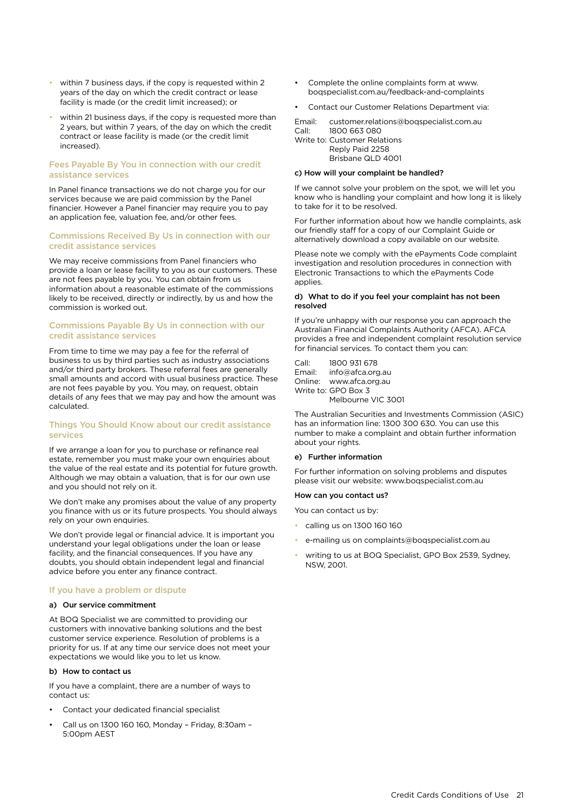- within 7 business days, if the copy is requested within 2 years of the day on which the credit contract or lease facility is made (or the credit limit increased); or
- within 21 business days, if the copy is requested more than 2 years, but within 7 years, of the day on which the credit contract or lease facility is made (or the credit limit increased).

#### Fees Payable By You in connection with our credit assistance services

In Panel finance transactions we do not charge you for our services because we are paid commission by the Panel financier. However a Panel financier may require you to pay an application fee, valuation fee, and/or other fees.

#### Commissions Received By Us in connection with our credit assistance services

We may receive commissions from Panel financiers who provide a loan or lease facility to you as our customers. These are not fees payable by you. You can obtain from us information about a reasonable estimate of the commissions likely to be received, directly or indirectly, by us and how the commission is worked out.

#### Commissions Payable By Us in connection with our credit assistance services

From time to time we may pay a fee for the referral of business to us by third parties such as industry associations and/or third party brokers. These referral fees are generally small amounts and accord with usual business practice. These are not fees payable by you. You may, on request, obtain details of any fees that we may pay and how the amount was calculated.

#### Things You Should Know about our credit assistance services

If we arrange a loan for you to purchase or refinance real estate, remember you must make your own enquiries about the value of the real estate and its potential for future growth. Although we may obtain a valuation, that is for our own use and you should not rely on it.

We don't make any promises about the value of any property you finance with us or its future prospects. You should always rely on your own enquiries.

We don't provide legal or financial advice. It is important you understand your legal obligations under the loan or lease facility, and the financial consequences. If you have any doubts, you should obtain independent legal and financial advice before you enter any finance contract.

#### If you have a problem or dispute

#### a) Our service commitment

At BOQ Specialist we are committed to providing our customers with innovative banking solutions and the best customer service experience. Resolution of problems is a priority for us. If at any time our service does not meet your expectations we would like you to let us know.

#### b) How to contact us

If you have a complaint, there are a number of ways to contact us:

- Contact your dedicated financial specialist
- Call us on 1300 160 160, Monday Friday, 8:30am 5:00pm AEST
- Complete the online complaints form at www. boqspecialist.com.au/feedback-and-complaints
- Contact our Customer Relations Department via:

Email: customer.relations@boqspecialist.com.au Call: 1800 663 080

Write to: Customer Relations Reply Paid 2258 Brisbane QLD 4001

#### c) How will your complaint be handled?

If we cannot solve your problem on the spot, we will let you know who is handling your complaint and how long it is likely to take for it to be resolved.

For further information about how we handle complaints, ask our friendly staff for a copy of our Complaint Guide or alternatively download a copy available on our website.

Please note we comply with the ePayments Code complaint investigation and resolution procedures in connection with Electronic Transactions to which the ePayments Code applies.

#### d) What to do if you feel your complaint has not been resolved

If you're unhappy with our response you can approach the Australian Financial Complaints Authority (AFCA). AFCA provides a free and independent complaint resolution service for financial services. To contact them you can:

| Call:  | 1800 931 678            |
|--------|-------------------------|
| Email: | info@afca.org.au        |
|        | Online: www.afca.org.au |
|        | Write to: GPO Box 3     |
|        | Melbourne VIC 3001      |

The Australian Securities and Investments Commission (ASIC) has an information line: 1300 300 630. You can use this number to make a complaint and obtain further information about your rights.

#### e) Further information

For further information on solving problems and disputes please visit our website: [www.boqspecialist.com.au](http://www.boqspecialist.com.au/)

#### How can you contact us?

You can contact us by:

- calling us on 1300 160 160
- e-mailing us on [co](mailto:client.services@boqspecialist.com.au)mplaints@boqspecialist.com.au
- writing to us at BOQ Specialist, GPO Box 2539, Sydney, NSW, 2001.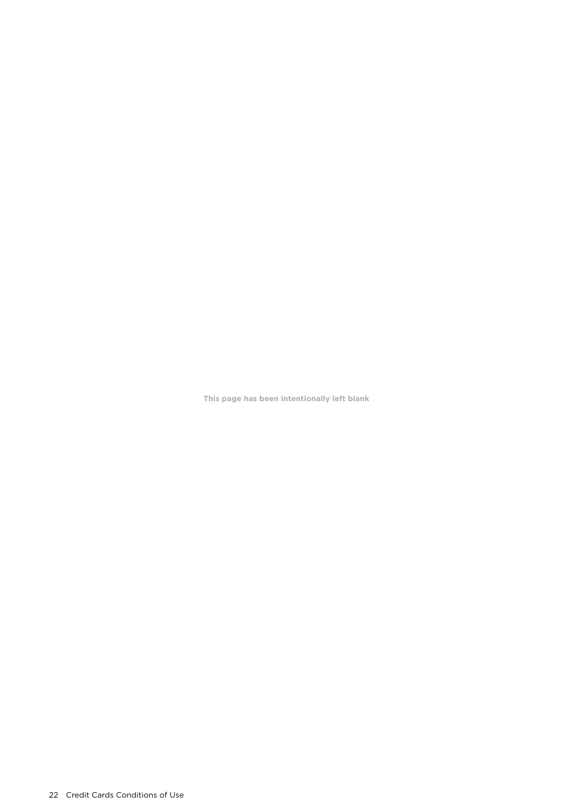**This page has been intentionally left blank**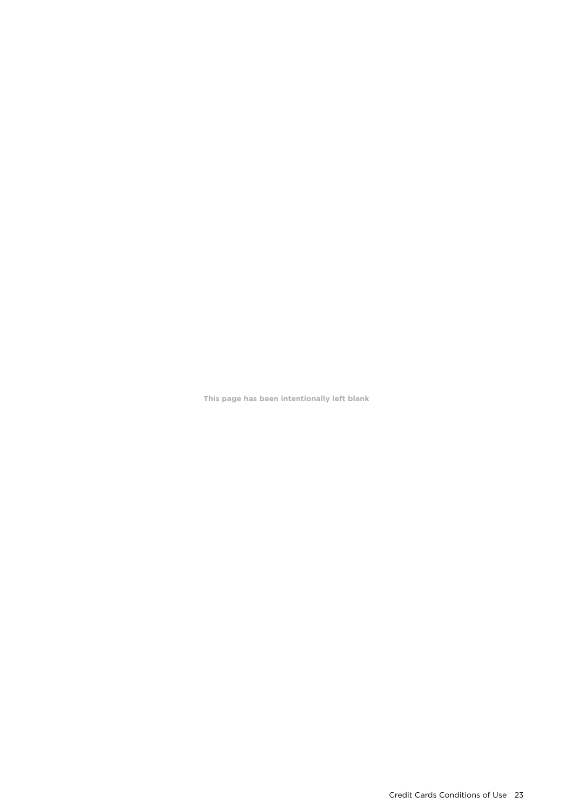**This page has been intentionally left blank**